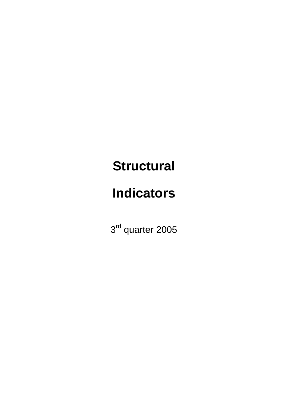# **Structural**

# **Indicators**

3<sup>rd</sup> quarter 2005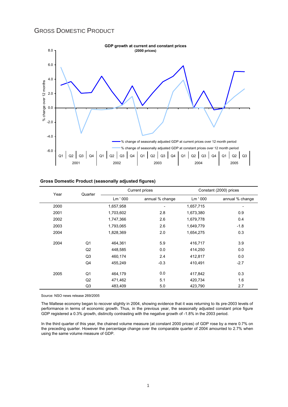### GROSS DOMESTIC PRODUCT



| <b>Gross Domestic Product (seasonally adjusted figures)</b> |  |  |
|-------------------------------------------------------------|--|--|
|                                                             |  |  |

| Year | Quarter        |           | <b>Current prices</b> | Constant (2000) prices |                 |  |
|------|----------------|-----------|-----------------------|------------------------|-----------------|--|
|      |                | Lm '000   | annual % change       | Lm '000                | annual % change |  |
| 2000 |                | 1,657,958 |                       | 1,657,715              |                 |  |
| 2001 |                | 1,703,602 | 2.8                   | 1,673,380              | 0.9             |  |
| 2002 |                | 1,747,366 | 2.6                   | 1,679,778              | 0.4             |  |
| 2003 |                | 1,793,065 | 2.6                   | 1,649,779              | $-1.8$          |  |
| 2004 |                | 1,828,369 | 2.0                   | 1,654,275              | 0.3             |  |
| 2004 | Q <sub>1</sub> | 464.361   | 5.9                   | 416,717                | 3.9             |  |
|      | Q2             | 448,585   | 0.0                   | 414,250                | 0.0             |  |
|      | Q3             | 460,174   | 2.4                   | 412,817                | 0.0             |  |
|      | Q4             | 455.249   | $-0.3$                | 410,491                | $-2.7$          |  |
| 2005 | Q1             | 464,179   | 0.0                   | 417,842                | 0.3             |  |
|      | Q2             | 471,462   | 5.1                   | 420,734                | 1.6             |  |
|      | Q <sub>3</sub> | 483,409   | 5.0                   | 423,790                | 2.7             |  |

Source: NSO news release 269/2005

The Maltese economy began to recover slightly in 2004, showing evidence that it was returning to its pre-2003 levels of performance in terms of economic growth. Thus, in the previous year, the seasonally adjusted constant price figure GDP registered a 0.3% growth, distinctly contrasting with the negative growth of -1.8% in the 2003 period.

In the third quarter of this year, the chained volume measure (at constant 2000 prices) of GDP rose by a mere 0.7% on the preceding quarter. However the percentage change over the comparable quarter of 2004 amounted to 2.7% when using the same volume measure of GDP.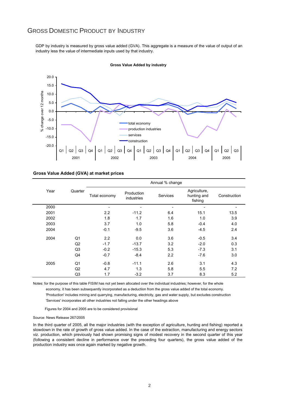### GROSS DOMESTIC PRODUCT BY INDUSTRY

GDP by industry is measured by gross value added (GVA). This aggregate is a measure of the value of output of an industry less the value of intermediate inputs used by that industry.



**Gross Value Added by industry**

#### **Gross Value Added (GVA) at market prices**

|      |                | Annual % change |                          |                 |                                        |              |  |  |  |  |
|------|----------------|-----------------|--------------------------|-----------------|----------------------------------------|--------------|--|--|--|--|
| Year | Quarter        | Total economy   | Production<br>industries | <b>Services</b> | Agriculture,<br>hunting and<br>fishing | Construction |  |  |  |  |
| 2000 |                |                 |                          |                 |                                        |              |  |  |  |  |
| 2001 |                | 2.2             | $-11.2$                  | 6.4             | 15.1                                   | 13.5         |  |  |  |  |
| 2002 |                | 1.8             | 1.7                      | 1.6             | 1.0                                    | 3.9          |  |  |  |  |
| 2003 |                | 3.7             | 1.0                      | 5.8             | $-0.4$                                 | 4.0          |  |  |  |  |
| 2004 |                | $-0.1$          | $-9.5$                   | 3.6             | $-4.5$                                 | 2.4          |  |  |  |  |
| 2004 | Q1             | 2.2             | 0.0                      | 3.6             | $-0.5$                                 | 3.4          |  |  |  |  |
|      | Q <sub>2</sub> | $-1.7$          | $-13.7$                  | 3.2             | $-2.0$                                 | 0.3          |  |  |  |  |
|      | Q <sub>3</sub> | $-0.2$          | $-15.3$                  | 5.3             | $-7.3$                                 | 3.1          |  |  |  |  |
|      | Q4             | $-0.7$          | $-8.4$                   | 2.2             | $-7.6$                                 | 3.0          |  |  |  |  |
| 2005 | Q1             | $-0.8$          | $-11.1$                  | 2.6             | 3.1                                    | 4.3          |  |  |  |  |
|      | Q <sub>2</sub> | 4.7             | 1.3                      | 5.8             | 5.5                                    | 7.2          |  |  |  |  |
|      | Q <sub>3</sub> | 1.7             | $-3.2$                   | 3.7             | 8.3                                    | 5.2          |  |  |  |  |

 'Production' includes mining and quarrying, manufacturing, electricity, gas and water supply, but excludes construction 'Services' incorporates all other industries not falling under the other headings above Notes: for the purpose of this table FISIM has not yet been allocated over the individual industries; however, for the whole economy, it has been subsequently incorporated as a deduction from the gross value added of the total economy.

Figures for 2004 and 2005 are to be considered provisional

#### Source: News Release 267/2005

In the third quarter of 2005, all the major industries (with the exception of agriculture, hunting and fishing) reported a slowdown in the rate of growth of gross value added. In the case of the extraction, manufacturing and energy sectors viz. production, which previously had shown promising signs of modest recovery in the second quarter of this year (following a consistent decline in performance over the preceding four quarters), the gross value added of the production industry was once again marked by negative growth.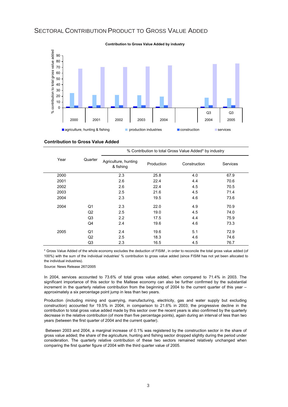## SECTORAL CONTRIBUTION PRODUCT TO GROSS VALUE ADDED



#### **Contribution to Gross Value Added**

|      |         | % Contribution to total Gross Value Added* by industry |            |              |          |  |  |  |  |
|------|---------|--------------------------------------------------------|------------|--------------|----------|--|--|--|--|
| Year | Quarter | Agriculture, hunting<br>& fishing                      | Production | Construction | Services |  |  |  |  |
| 2000 |         | 2.3                                                    | 25.8       | 4.0          | 67.9     |  |  |  |  |
| 2001 |         | 2.6                                                    | 22.4       | 4.4          | 70.6     |  |  |  |  |
| 2002 |         | 2.6                                                    | 22.4       | 4.5          | 70.5     |  |  |  |  |
| 2003 |         | 2.5                                                    | 21.6       | 4.5          | 71.4     |  |  |  |  |
| 2004 |         | 2.3                                                    | 19.5       | 4.6          | 73.6     |  |  |  |  |
| 2004 | Q1      | 2.3                                                    | 22.0       | 4.9          | 70.9     |  |  |  |  |
|      | Q2      | 2.5                                                    | 19.0       | 4.5          | 74.0     |  |  |  |  |
|      | Q3      | 2.2                                                    | 17.5       | 4.4          | 75.9     |  |  |  |  |
|      | Q4      | 2.4                                                    | 19.6       | 4.6          | 73.3     |  |  |  |  |
| 2005 | Q1      | 2.4                                                    | 19.6       | 5.1          | 72.9     |  |  |  |  |
|      | Q2      | 2.5                                                    | 18.3       | 4.6          | 74.6     |  |  |  |  |
|      | Q3      | 2.3                                                    | 16.5       | 4.5          | 76.7     |  |  |  |  |

\* Gross Value Added of the whole economy excludes the deduction of FISIM , in order to reconcile the total gross value added (of 100%) with the sum of the individual industries' % contribution to gross value added (since FISIM has not yet been allocated to the individual industries).

Source: News Release 267/2005

In 2004, services accounted to 73.6% of total gross value added, when compared to 71.4% in 2003. The significant importance of this sector to the Maltese economy can also be further confirmed by the substantial increment in the quarterly relative contribution from the beginning of 2004 to the current quarter of this year – approximately a six percentage point jump in less than two years.

Production (including mining and quarrying, manufacturing, electricity, gas and water supply but excluding construction) accounted for 19.5% in 2004, in comparison to 21.6% in 2003; the progressive decline in the contribution to total gross value added made by this sector over the recent years is also confirmed by the quarterly decrease in the relative contribution (of more than five percentage points), again during an interval of less than two years (between the first quarter of 2004 and the current quarter).

Between 2003 and 2004, a marginal increase of 0.1% was registered by the construction sector in the share of gross value added; the share of the agriculture, hunting and fishing sector dropped slightly during the period under consideration. The quarterly relative contribution of these two sectors remained relatively unchanged when comparing the first quarter figure of 2004 with the third quarter value of 2005.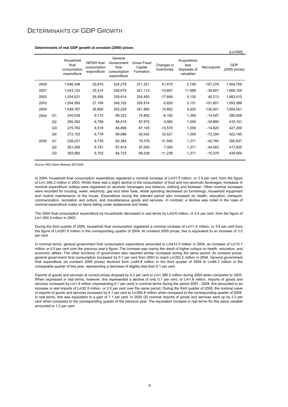### DETERMINANTS OF GDP GROWTH

|      |                |                                                  |                                                  |                                                              |                                     |                           |                                                   |             | (Lm'000)                       |
|------|----------------|--------------------------------------------------|--------------------------------------------------|--------------------------------------------------------------|-------------------------------------|---------------------------|---------------------------------------------------|-------------|--------------------------------|
|      |                | Household<br>final<br>consumption<br>expenditure | <b>NPISH</b> final<br>consumption<br>expenditure | General<br>Government<br>final<br>consumption<br>expenditure | Gross Fixed<br>Capital<br>Formation | Changes in<br>inventories | Acquisitions<br>less<br>disposals of<br>valuables | Net exports | <b>GDP</b><br>$(2000)$ prices) |
| 2000 |                | 1,046,348                                        | 25,816                                           | 324,279                                                      | 371,321                             | 51,475                    | 2,746                                             | $-167,276$  | 1,654,709                      |
| 2001 |                | 1,043,722                                        | 25,314                                           | 326,670                                                      | 321,112                             | $-19,807$                 | 11,989                                            | $-39,891$   | 1,669,109                      |
| 2002 |                | 1,034,521                                        | 26,556                                           | 339,814                                                      | 254,450                             | $-17,669$                 | 5,130                                             | 40,213      | 1,683,015                      |
| 2003 |                | 1,054,393                                        | 27,169                                           | 349,702                                                      | 326,814                             | $-5,820$                  | 3,131                                             | $-101,801$  | 1,653,588                      |
| 2004 |                | 1,049,767                                        | 26,800                                           | 352,228                                                      | 341,960                             | 14,852                    | 5,435                                             | $-136,541$  | 1,654,501                      |
| 2004 | Q1             | 245,539                                          | 6,715                                            | 89,322                                                       | 74,802                              | $-8,182$                  | 1,359                                             | $-14,547$   | 395,008                        |
|      | Q <sub>2</sub> | 256,362                                          | 6,790                                            | 88,415                                                       | 87,972                              | 4,083                     | 1,359                                             | $-34,880$   | 410,101                        |
|      | Q3             | 275,762                                          | 6,518                                            | 84,806                                                       | 87,145                              | $-13,570$                 | 1,359                                             | $-14,820$   | 427,200                        |
|      | Q4             | 272,103                                          | 6,778                                            | 89,686                                                       | 92,042                              | 32,521                    | 1,359                                             | -72,294     | 422,195                        |
| 2005 | Q <sub>1</sub> | 239,231                                          | 6,735                                            | 83,364                                                       | 79,376                              | 31,545                    | 1,371                                             | $-45,785$   | 395,837                        |
|      | Q <sub>2</sub> | 261,056                                          | 6,791                                            | 87,819                                                       | 97,556                              | 7,305                     | 1,371                                             | $-44,063$   | 417,835                        |
|      | Q <sub>3</sub> | 283,982                                          | 6,703                                            | 84,733                                                       | 89,328                              | $-11,238$                 | 1,371                                             | $-15,379$   | 439,500                        |

#### **Determinants of real GDP growth at constant (2000) prices**

Source: NSO News Release 267/2005

In 2004, household final consumption expenditure registered a nominal increase of Lm31.5 million, or 2.9 per cent, from the figure of Lm1,094.2 million in 2003. Whilst there was a slight decline in the consumption of food and non-alcoholic beverages, increases in nominal expenditure outlays were registered on alcoholic beverages and tobacco, clothing and footwear. Other nominal increases were recorded for housing, water, electricity, gas and other fuels, whilst spending decreased on furnishings, household equipment and routine maintenance of the house. Expenditure during the relevant period also increased on health, education, transport, communication, recreation and culture, and miscellaneous goods and services. In contrast, a decline was noted in the case of nominal expenditure outlay on items falling under restaurants and hotels.

The 2004 final consumption expenditure by households decreased in real terms by Lm4.6 million, or 0.4 per cent, from the figure of Lm1,054.4 million in 2003.

During the third quarter of 2005, household final consumption registered a nominal increase of Lm11.4 million, or 3.8 per cent from the figure of Lm297.8 million in the corresponding quarter of 2004. At constant 2000 prices, this is equivalent to an increase of 3.0 per cent.

In nominal terms, general government final consumption expenditure amounted to Lm412.0 million in 2004, an increase of Lm15.7 million or 4.0 per cent over the previous year's figure. The increase was mainly the result of higher outlays on health, education, and economic affairs. The other functions of government also reported similar increases during the same period. At constant prices, general government final consumption increased by 0.7 per cent from 2003 to reach Lm352.2 million in 2004. General government final expenditure (at constant 2000 prices) declined from Lm84.8 million in the third quarter of 2004 to Lm84.7 million in the comparable quarter of this year, representing a decrease of slightly less than 0.1 per cent

Exports of goods and services at current prices dropped by 4.2 per cent to Lm1,386.3 million during 2004 when compared to 2003. When expressed in real terms, however, this represented a decline of only 0.1 per cent, or Lm1.8 million. Imports of goods and services increased by Lm1.9 million (representing 0.1 per cent) in nominal terms during the period 2003 - 2004; this amounted to an increase in real imports of Lm32.9 million, or 2.0 per cent over the same period. During the third quarter of 2005, the nominal value of exports of goods and services increased by 4.1 per cent to Lm382.8 million when compared to the corresponding quarter of 2004. In real terms, this was equivalent to a gain of 1.1 per cent. In 2005 Q3 nominal imports of goods and services went up by 3.3 per cent when compared to the corresponding quarter of the previous year. The equivalent increase in real terms for this same variable amounted to 1.2 per cent.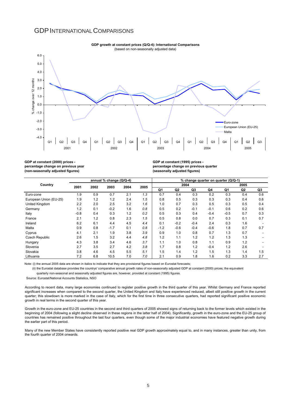#### GDPINTERNATIONALCOMPARISONS



#### **GDP growth at constant prices (Q/Q-4): International Comparisons** (based on non-seasonally adjusted data)

**GDP at constant (2000) prices percentage change on previous year (non-seasonally adjusted figures)**

**GDP at constant (1995) prices percentage change on previous quarter (seasonally adjusted figures)**

|                        |        |      | annual % change (Q/Q-4) |      |      | % change quarter on quarter (Q/Q-1) |                |        |        |        |      |     |
|------------------------|--------|------|-------------------------|------|------|-------------------------------------|----------------|--------|--------|--------|------|-----|
| Country                | 2001   | 2002 | 2003                    | 2004 | 2005 |                                     | 2004           |        |        |        | 2005 |     |
|                        |        |      |                         |      |      | Q1                                  | Q <sub>2</sub> | Q3     | Q4     | Q1     | Q2   | Q3  |
| Euro-zone              | 1.9    | 0.9  | 0.7                     | 2.1  | 1.3  | 0.7                                 | 0.4            | 0.3    | 0.2    | 0.3    | 0.4  | 0.6 |
| European Union (EU-25) | 1.9    | 1.2  | 1.2                     | 2.4  | 1.5  | 0.8                                 | 0.5            | 0.3    | 0.3    | 0.3    | 0.4  | 0.6 |
| United Kingdom         | 2.2    | 2.0  | 2.5                     | 3.2  | 1.6  | 1.0                                 | 0.7            | 0.3    | 0.5    | 0.3    | 0.5  | 0.4 |
| Germany                | 1.2    | 0.1  | $-0.2$                  | 1.6  | 0.8  | 0.5                                 | 0.2            | $-0.1$ | $-0.1$ | 0.6    | 0.2  | 0.6 |
| Italy                  | $-0.8$ | 0.4  | 0.3                     | 1.2  | 0.2  | 0.5                                 | 0.3            | 0.4    | $-0.4$ | $-0.5$ | 0.7  | 0.3 |
| France                 | 2.1    | 1.2  | 0.8                     | 2.3  | 1.5  | 0.5                                 | 0.8            | 0.0    | 0.7    | 0.3    | 0.1  | 0.7 |
| Ireland                | 6.2    | 6.1  | 4.4                     | 4.5  | 4.4  | 0.1                                 | $-0.2$         | $-0.4$ | 2.4    | 0.3    | 1.6  |     |
| Malta                  | 0.9    | 0.8  | $-1.7$                  | 0.1  | 0.8  | $-1.2$                              | $-0.6$         | $-0.4$ | $-0.6$ | 1.8    | 0.7  | 0.7 |
| Cyprus                 | 4.1    | 2.1  | 1.9                     | 3.8  | 3.9  | 0.9                                 | 1.0            | 0.8    | 0.7    | 1.3    | 0.7  |     |
| <b>Czech Republic</b>  | 2.6    | 1.5  | 3.2                     | 4.4  | 4.8  | 1.2                                 | 1.1            | 1.2    | 1.2    | 1.3    | 1.3  |     |
| Hungary                | 4.3    | 3.8  | 3.4                     | 4.6  | 3.7  | 1.1                                 | 1.0            | 0.8    | 1.1    | 0.9    | 1.2  |     |
| Slovenia               | 2.7    | 3.5  | 2.7                     | 4.2  | 3.8  | 1.7                                 | 0.8            | 1.2    | $-0.4$ | 1.2    | 2.6  |     |
| Slovakia               | 3.8    | 4.6  | 4.5                     | 5.5  | 5.1  | 1.5                                 | 1.4            | 1.2    | 1.5    | 1.3    | 1.4  | 1.5 |
| Lithuania              | 7.2    | 6.8  | 10.5                    | 7.0  | 7.0  | 2.1                                 | 0.9            | 1.8    | 1.6    | 0.2    | 3.3  | 2.7 |

Note: (i) the annual 2005 data are shown in italics to indicate that they are provisional figures based on Eurostat forecasts;

(ii) the Eurostat database provides the countrys' comparative annual growth rates of non-seasonally adjusted GDP at constant (2000) prices; the equivalent

quarterly non-seasonal and seasonally adjusted figures are, however, provided at constant (1995) figures.

Source: Eurostat/National Accounts Statistics, NSO

According to recent data, many large economies continued to register positive growth in the third quarter of this year. Whilst Germany and France reported significant increases when compared to the second quarter, the United Kingdom and Italy have experienced reduced, albeit still positive growth in the current quarter; this slowdown is more marked in the case of Italy, which for the first time in three consecutive quarters, had reported significant positive economic growth in real terms in the second quarter of this year.

Growth in the euro-zone and EU-25 countries in the second and third quarters of 2005 showed signs of returning back to the former levels which existed in the beginning of 2004 (following a slight decline observed in these regions in the latter half of 2004). Significantly, growth in the euro-zone and the EU-25 group of countries has remained positive throughout the last four quarters, even though some of the major industrial economies have featured negative growth during the earlier part of this period.

Many of the new Member States have consistently reported positive real GDP growth approximately equal to, and in many instances, greater than unity, from the fourth quarter of 2004 onwards.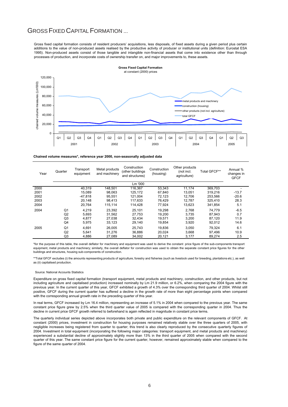### GROSS FIXED CAPITAL FORMATION ...

Gross fixed capital formation consists of resident producers' acquisitions, less disposals, of fixed assets during a given period plus certain additions to the value of non-produced assets realised by the productive activity of producer or institutional units (definition: Eurostat ESA 1995). Non-produced assets consist of those tangible and intangible non-financial assets that come into existence other than through processes of production, and incorporate costs of ownership transfer on, and major improvements to, these assets.



#### **Chained volume measures\*, reference year 2000, non-seasonally adjusted data**

| Year | Quarter        | Transport<br>equipment | Metal products<br>and machinery | Construction<br>(other buildings<br>and structures) | Construction<br>(housing) | Other products<br>(not incl.<br>agriculture) | Total GFCF** | Annual %<br>changes in<br><b>GFCF</b> |
|------|----------------|------------------------|---------------------------------|-----------------------------------------------------|---------------------------|----------------------------------------------|--------------|---------------------------------------|
|      |                |                        |                                 | Lm '000                                             |                           |                                              |              |                                       |
| 2000 |                | 40.319                 | 148.501                         | 116.367                                             | 53,343                    | 11.174                                       | 369,703      |                                       |
| 2001 |                | 15.089                 | 98.063                          | 125.172                                             | 67.840                    | 13.051                                       | 319.216      | $-13.7$                               |
| 2002 |                | $-47.818$              | 95.551                          | 121.004                                             | 72.123                    | 12.706                                       | 253,566      | $-20.6$                               |
| 2003 |                | 20.148                 | 98.413                          | 117.633                                             | 76.429                    | 12.787                                       | 325.410      | 28.3                                  |
| 2004 |                | 20.764                 | 115.114                         | 114,428                                             | 77.924                    | 13,623                                       | 341.854      | 5.1                                   |
| 2004 | Q1             | 4.219                  | 23.392                          | 25.101                                              | 19.298                    | 2.768                                        | 74.779       | $-6.5$                                |
|      | Q2             | 5.693                  | 31,562                          | 27,753                                              | 19,200                    | 3.735                                        | 87,943       | 0.7                                   |
|      | Q3             | 4.877                  | 27.038                          | 32.434                                              | 19.571                    | 3.200                                        | 87.120       | 11.9                                  |
|      | Q4             | 5,975                  | 33.123                          | 29,140                                              | 19,854                    | 3,920                                        | 92,012       | 14.6                                  |
| 2005 | Q1             | 4.691                  | 26.005                          | 25.743                                              | 19.836                    | 3.050                                        | 79.324       | 6.1                                   |
|      | Q <sub>2</sub> | 5.641                  | 31.276                          | 36.886                                              | 20.024                    | 3,668                                        | 97.496       | 10.9                                  |
|      | Q3             | 4,886                  | 27,089                          | 34,002                                              | 20,121                    | 3,177                                        | 89,274       | 2.5                                   |

\*for the purpose of this table, the overall deflator for machinery and equipment was used to derive the constant price figure of the sub-components transport equipment, metal products and machinery; similarly, the overall deflator for construction was used to obtain the separate constant price figures for the other buildings and structures, housing sub-components of construction.

\*\*Total GFCF excludes (i) the amounts representing products of agriculture, forestry and fisheries (such as livestock used for breeding, plantations etc.), as well as (ii) capitalised production.

#### Source: National Accounts Statistics

Expenditure on gross fixed capital formation (transport equipment, metal products and machinery, construction, and other products, but not including agriculture and capitalised production) increased nominally by Lm 21.9 million, or 6.2%, when comparing the 2004 figure with the previous year. In the current quarter of this year, GFCF exhibited a growth of 4.3% over the corresponding third quarter of 2004. Whilst still positive, GFCF during the current quarter has suffered a decline in the growth rate of more than eight percentage points when compared with the corresponding annual growth rate in the preceding quarter of this year.

In real terms, GFCF increased by Lm 16.4 million, representing an increase of 5.1% in 2004 when compared to the previous year. The same constant price figure grew by 2.5% when the third quarter value of 2005 is compared with the corresponding quarter in 2004. Thus the decline in current price GFCF growth referred to beforehand is again reflected in magnitude in constant price terms.

The quarterly individual series depicted above incorporates both private and public expenditure on the relevant components of GFCF. At constant (2000) prices, investment in construction for housing purposes remained relatively stable over the three quarters of 2005, with negligible increases being registered from quarter to quarter; this trend is also clearly reproduced by the consecutive quarterly figures of 2004. Investment in total equipment (incorporating the following major categories: transport equipment, and metal products and machinery) experienced a substantial decline of approximately slightly more than 13% in the third quarter of 2005 when compared with the second quarter of this year. The same constant price figure for the current quarter, however, remained approximately stable when compared to the figure of the same quarter of 2004.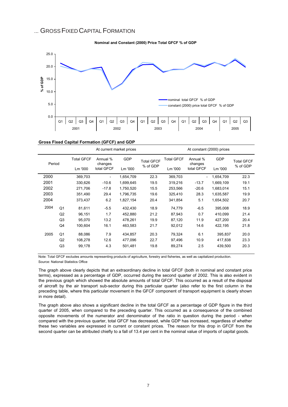### ... GROSS FIXED CAPITAL FORMATION





| Gross Fixed Capital Formation (GFCF) and GDP |  |
|----------------------------------------------|--|
|                                              |  |

|        |                |                   | At current market prices |            | At constant (2000) prices |            |                          |            |                               |
|--------|----------------|-------------------|--------------------------|------------|---------------------------|------------|--------------------------|------------|-------------------------------|
| Period |                | <b>Total GFCF</b> | Annual %<br>changes      | <b>GDP</b> | <b>Total GFCF</b>         | Total GFCF | Annual %<br>changes      | <b>GDP</b> | <b>Total GFCF</b><br>% of GDP |
|        |                | Lm '000           | total GFCF               | Lm '000    | % of GDP                  | Lm '000    | total GFCF               | Lm '000    |                               |
| 2000   |                | 369,703           |                          | 1,654,709  | 22.3                      | 369,703    | $\overline{\phantom{0}}$ | 1,654,709  | 22.3                          |
| 2001   |                | 330,626           | $-10.6$                  | 1,699,645  | 19.5                      | 319,216    | $-13.7$                  | 1,669,109  | 19.1                          |
| 2002   |                | 271,706           | $-17.8$                  | 1,750,520  | 15.5                      | 253,566    | $-20.6$                  | 1,683,014  | 15.1                          |
| 2003   |                | 351,490           | 29.4                     | 1,796,735  | 19.6                      | 325,410    | 28.3                     | 1,635,587  | 19.9                          |
| 2004   |                | 373,437           | 6.2                      | 1,827,154  | 20.4                      | 341,854    | 5.1                      | 1,654,502  | 20.7                          |
| 2004   | Q <sub>1</sub> | 81,611            | $-5.5$                   | 432,430    | 18.9                      | 74,779     | $-6.5$                   | 395,008    | 18.9                          |
|        | Q2             | 96,151            | 1.7                      | 452,880    | 21.2                      | 87,943     | 0.7                      | 410,099    | 21.4                          |
|        | Q <sub>3</sub> | 95,070            | 13.2                     | 478,261    | 19.9                      | 87,120     | 11.9                     | 427.200    | 20.4                          |
|        | Q4             | 100.604           | 16.1                     | 463.583    | 21.7                      | 92,012     | 14.6                     | 422,195    | 21.8                          |
| 2005   | Q <sub>1</sub> | 88,086            | 7.9                      | 434,857    | 20.3                      | 79,324     | 6.1                      | 395,837    | 20.0                          |
|        | Q2             | 108,278           | 12.6                     | 477,096    | 22.7                      | 97,496     | 10.9                     | 417,838    | 23.3                          |
|        | Q <sub>3</sub> | 99,178            | 4.3                      | 501,481    | 19.8                      | 89,274     | 2.5                      | 439,500    | 20.3                          |

Note: Total GFCF excludes amounts representing products of agriculture, forestry and fisheries, as well as capitalized production. Source: National Statistics Office

The graph above clearly depicts that an extraordinary decline in total GFCF (both in nominal and constant price terms), expressed as a percentage of GDP, occurred during the second quarter of 2002. This is also evident in the previous graph which showed the absolute amounts of total GFCF. This occurred as a result of the disposal of aircraft by the air transport sub-sector during this particular quarter (also refer to the first column in the preceding table, where this particular movement in the GFCF component of transport equipment is clearly shown in more detail).

The graph above also shows a significant decline in the total GFCF as a percentage of GDP figure in the third quarter of 2005, when compared to the preceding quarter. This occurred as a consequence of the combined opposite movements of the numerator and denominator of the ratio in question during the period - when compared with the previous quarter, total GFCF has decreased, while GDP has increased, regardless of whether these two variables are expressed in current or constant prices. The reason for this drop in GFCF from the second quarter can be attributed chiefly to a fall of 13.4 per cent in the nominal value of imports of capital goods.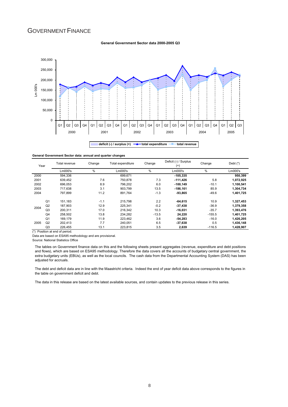### GOVERNMENT FINANCE

#### **General Government Sector data 2000-2005 Q3**



#### **General Government Sector data: annual and quarter changes**

| Year |                | Total revenue | Change | Total expenditure | Change  | Deficit (-) / Surplus<br>$^{(+)}$ | Change   | Debt $(*)$ |
|------|----------------|---------------|--------|-------------------|---------|-----------------------------------|----------|------------|
|      |                | Lm000's       | %      | Lm000's           | $\%$    | Lm000's                           | %        | Lm000's    |
| 2000 |                | 594.336       |        | 699.671           |         | $-105,335$                        |          | 950.399    |
| 2001 |                | 639.452       | 7.6    | 750.878           | 7.3     | $-111.426$                        | 5.8      | 1,072,925  |
| 2002 |                | 696.053       | 8.9    | 796.202           | 6.0     | $-100, 149$                       | $-10.1$  | 1,100,541  |
| 2003 |                | 717.638       | 3.1    | 903.799           | 13.5    | $-186.161$                        | 85.9     | 1,304,734  |
| 2004 |                | 797.899       | 11.2   | 891.764           | $-1.3$  | $-93,865$                         | $-49.6$  | 1,401,725  |
|      | Q <sub>1</sub> | 151.183       | $-1.1$ | 215.798           | 2.2     | $-64.615$                         | 10.9     | 1,327,453  |
| 2004 | Q <sub>2</sub> | 187.903       | 12.9   | 225.341           | $-0.2$  | $-37,438$                         | $-36.9$  | 1,379,358  |
|      | Q <sub>3</sub> | 200,311       | 17.0   | 216.342           | 10.3    | $-16,031$                         | $-35.7$  | 1,393,476  |
|      | Q <sub>4</sub> | 258,502       | 13.8   | 234.282           | $-13.5$ | 24,220                            | $-155.5$ | 1,401,725  |
|      | Q <sub>1</sub> | 169,179       | 11.9   | 223.462           | 3.6     | $-54.283$                         | $-16.0$  | 1,426,205  |
| 2005 | Q <sub>2</sub> | 202.413       | 7.7    | 240.051           | 6.5     | $-37,638$                         | 0.5      | 1,436,148  |
|      | Q <sub>3</sub> | 226,455       | 13.1   | 223,815           | 3.5     | 2,639                             | $-116.5$ | 1,428,907  |

(\*) Position at end of period.

Data are based on ESA95 methodology and are provisional.

Source: National Statistics Office

The tables on Government finance data on this and the following sheets present aggregates (revenue, expenditure and debt positions and flows), which are based on ESA95 methodology. Therefore the data covers all the accounts of budgetary central government, the extra budgetary units (EBUs), as well as the local councils. The cash data from the Departmental Accounting System (DAS) has been adjusted for accruals.

The debt and deficit data are in line with the Maastricht criteria. Indeed the end of year deficit data above corresponds to the figures in the table on government deficit and debt.

The data in this release are based on the latest available sources, and contain updates to the previous release in this series.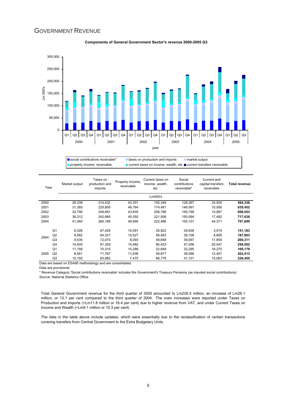### **GOVERNMENT REVENUE**



#### **Components of General Government Sector's revenue 2000-2005 Q3**



| Year |                | Market output | Taxes on<br>production and<br>imports | Property income,<br>receivable | Current taxes on<br>income, wealth,<br>etc. | Social<br>contributions<br>receivable* | Current and<br>capital transfers<br>receivable | Total revenue |
|------|----------------|---------------|---------------------------------------|--------------------------------|---------------------------------------------|----------------------------------------|------------------------------------------------|---------------|
|      |                |               |                                       |                                | Lm000's                                     |                                        |                                                |               |
| 2000 |                | 28,338        | 214,432                               | 43,301                         | 155,349                                     | 128,367                                | 24,550                                         | 594,336       |
| 2001 |                | 31,385        | 229,800                               | 46,764                         | 174.481                                     | 146,067                                | 10,956                                         | 639,452       |
| 2002 |                | 32,790        | 249.881                               | 43.830                         | 206.786                                     | 146.799                                | 15.967                                         | 696,053       |
| 2003 |                | 36,312        | 242.885                               | 49,350                         | 221.506                                     | 150.094                                | 17,492                                         | 717,638       |
| 2004 |                | 41.060        | 285.189                               | 49.694                         | 222.486                                     | 155.101                                | 44.371                                         | 797,899       |
|      | Q1             | 8,328         | 67,428                                | 16,591                         | 25,922                                      | 29,839                                 | 3.074                                          | 151,183       |
|      | Q2             | 8.562         | 64.327                                | 10.527                         | 56.483                                      | 39.108                                 | 8.895                                          | 187.903       |
| 2004 | Q <sub>3</sub> | 9,535         | 72.074                                | 8,093                          | 59.658                                      | 39,097                                 | 11.854                                         | 200,311       |
|      | Q <sub>4</sub> | 14,635        | 81.359                                | 14,482                         | 80,423                                      | 47,056                                 | 20,547                                         | 258,502       |
|      | Q1             | 11.156        | 70.315                                | 14.288                         | 22.849                                      | 32.295                                 | 18.275                                         | 169.179       |
| 2005 | Q2             | 8.561         | 71.797                                | 11,636                         | 59.877                                      | 38.086                                 | 12.457                                         | 202,413       |
|      | Q <sub>3</sub> | 10,155        | 83,882                                | 7,475                          | 68,778                                      | 41,101                                 | 15.063                                         | 226,455       |

Data are based on ESA95 methodology and are consolidated.

Data are provisional.

\* Revenue Category 'Social contributions receivable' includes the Government's Treasury Pensions (as imputed social contributions). Source: National Statistics Office

Total General Government revenue for the third quarter of 2005 amounted to Lm226.5 million, an increase of Lm26.1 million, or 13.1 per cent compared to the third quarter of 2004. The main increases were reported under Taxes on Production and Imports (+Lm11.8 million or 16.4 per cent) due to higher revenue from VAT, and under Current Taxes on Income and Wealth (+Lm9.1 million or 15.3 per cent).

The data in the table above include updates, which were essentially due to the reclassification of certain transactions covering transfers from Central Government to the Extra Budgetary Units.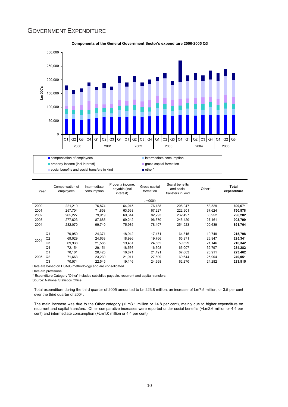### GOVERNMENT EXPENDITURE



**Components of the General Government Sector's expenditure 2000-2005 Q3**

| Lm000's                                                                            | 699,671<br>750,878 |
|------------------------------------------------------------------------------------|--------------------|
|                                                                                    |                    |
| 2000<br>221,219<br>76,874<br>64.015<br>76,188<br>208,047<br>53,329                 |                    |
| 2001<br>257,704<br>71.853<br>63,568<br>67,227<br>222,901<br>67,624                 |                    |
| 2002<br>265,227<br>79.919<br>69,314<br>82,293<br>232.497<br>66.952                 | 796,202            |
| 2003<br>277.623<br>87.685<br>69,242<br>96,670<br>245.420<br>127.161                | 903,799            |
| 2004<br>282,070<br>254.923<br>100.639<br>99.740<br>75,985<br>78,407                | 891,764            |
| Q <sub>1</sub><br>70,950<br>18,942<br>17,471<br>64,315<br>19,749<br>24,371         | 215,798            |
| Q <sub>2</sub><br>69,029<br>24,633<br>18,996<br>19,766<br>65,971<br>26,947<br>2004 | 225,341            |
| Q3<br>19.481<br>69,938<br>21,585<br>24,562<br>59,629<br>21,146                     | 216,342            |
| Q <sub>4</sub><br>72.154<br>29.151<br>18.566<br>16,608<br>65.007<br>32.797         | 234,282            |
| Q <sub>1</sub><br>70.101<br>20.425<br>16.871<br>21.491<br>67,663<br>26.911         | 223,462            |
| 2005<br>Q2<br>71.663<br>23,230<br>21,911<br>27,699<br>69.644<br>25,904             | 240,051            |
| Q <sub>3</sub><br>24,998<br>70.574<br>22.545<br>19,146<br>62,270<br>24,282<br>.    | 223,815            |

Data are based on ESA95 methodology and are consolidated.

Data are provisional.

\* Expenditure Category 'Other' includes subsidies payable, recurrent and capital transfers.

Source: National Statistics Office

Total expenditure during the third quarter of 2005 amounted to Lm223.8 million, an increase of Lm7.5 million, or 3.5 per cent over the third quarter of 2004.

The main increase was due to the Other category (+Lm3.1 million or 14.8 per cent), mainly due to higher expenditure on recurrent and capital transfers. Other comparative increases were reported under social benefits (+Lm2.6 million or 4.4 per cent) and intermediate consumption (+Lm1.0 million or 4.4 per cent).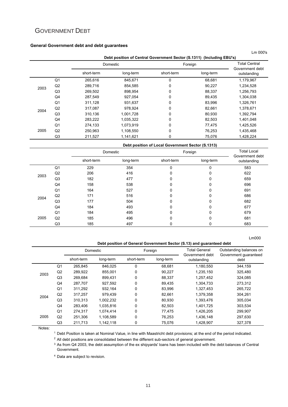# GOVERNMENT DEBT

#### **General Government debt and debt guarantees**

|      |                |            |           |                                                                       |                      | Lm 000's                       |
|------|----------------|------------|-----------|-----------------------------------------------------------------------|----------------------|--------------------------------|
|      |                |            |           | Debt position of Central Government Sector (S.1311) (Including EBU's) |                      |                                |
|      |                |            | Domestic  | Foreign                                                               | <b>Total Central</b> |                                |
|      |                | short-term | long-term | short-term                                                            | long-term            | Government debt<br>outstanding |
|      | Q <sub>1</sub> | 265,616    | 845,671   | 0                                                                     | 68,681               | 1,179,967                      |
| 2003 | Q2             | 289,716    | 854,585   | 0                                                                     | 90,227               | 1,234,528                      |
|      | Q <sub>3</sub> | 269,502    | 898,954   | 0                                                                     | 88,337               | 1,256,793                      |
|      | Q4             | 287,549    | 927,054   | 0                                                                     | 89,435               | 1,304,038                      |
|      | Q <sub>1</sub> | 311,128    | 931,637   | 0                                                                     | 83,996               | 1,326,761                      |
| 2004 | Q2             | 317,087    | 978,924   | 0                                                                     | 82,661               | 1,378,671                      |
|      | Q <sub>3</sub> | 310,136    | 1,001,728 | 0                                                                     | 80,930               | 1,392,794                      |
|      | Q4             | 283,222    | 1,035,322 | 0                                                                     | 82,503               | 1,401,048                      |
|      | Q <sub>1</sub> | 274,133    | 1,073,919 | 0                                                                     | 77,475               | 1,425,526                      |
| 2005 | Q2             | 250,963    | 1,108,550 | 0                                                                     | 76,253               | 1,435,468                      |
|      | Q3             | 211,527    | 1,141,621 | 0                                                                     | 75,076               | 1,428,224                      |

| Debt position of Local Government Sector (S.1313) |  |
|---------------------------------------------------|--|
|                                                   |  |

|      |                |            | Domestic  | Foreign    | <b>Total Local</b><br>Government debt |             |
|------|----------------|------------|-----------|------------|---------------------------------------|-------------|
|      |                | short-term | long-term | short-term | long-term                             | outstanding |
|      | Q <sub>1</sub> | 229        | 354       |            | $\Omega$                              | 583         |
| 2003 | Q2             | 206        | 416       | 0          | $\mathbf{0}$                          | 622         |
|      | Q <sub>3</sub> | 182        | 477       | 0          | $\Omega$                              | 659         |
|      | Q4             | 158        | 538       | 0          | $\Omega$                              | 696         |
|      | Q <sub>1</sub> | 164        | 527       | 0          | 0                                     | 691         |
| 2004 | Q2             | 171        | 516       | 0          | $\Omega$                              | 686         |
|      | Q <sub>3</sub> | 177        | 504       | 0          | $\Omega$                              | 682         |
|      | Q4             | 184        | 493       | 0          | $\Omega$                              | 677         |
|      | Q <sub>1</sub> | 184        | 495       | 0          | $\Omega$                              | 679         |
| 2005 | Q2             | 185        | 496       | 0          | $\Omega$                              | 681         |
|      | Q <sub>3</sub> | 185        | 497       | 0          | 0                                     | 683         |

**Debt position of General Government Sector (S.13) and guaranteed debt** 

Lm000

|      |                |            | Domestic  |              | Foreign   | <b>Total General</b><br>Government debt | Outstanding balances on<br>Government guaranteed |  |
|------|----------------|------------|-----------|--------------|-----------|-----------------------------------------|--------------------------------------------------|--|
|      |                | short-term | long-term | short-term   | long-term | outstanding                             | debt                                             |  |
|      | Q1             | 265,845    | 846,025   | $\mathbf{0}$ | 68,681    | 1,180,550                               | 344,159                                          |  |
| 2003 | Q2             | 289.922    | 855.001   | 0            | 90.227    | 1,235,150                               | 325,480                                          |  |
|      | Q <sub>3</sub> | 269.684    | 899.431   | 0            | 88.337    | 1.257.452                               | 324,085                                          |  |
|      | Q4             | 287,707    | 927,592   | 0            | 89,435    | 1,304,733                               | 273,312                                          |  |
|      | Q <sub>1</sub> | 311,292    | 932.164   | 0            | 83.996    | 1,327,453                               | 265,722                                          |  |
| 2004 | Q2             | 317.257    | 979.439   | $\mathbf{0}$ | 82.661    | 1.379.358                               | 304.261                                          |  |
|      | Q3             | 310,313    | 1,002,232 | 0            | 80,930    | 1,393,476                               | 305,034                                          |  |
|      | Q4             | 283.406    | 1,035,816 | 0            | 82.503    | 1,401,725                               | 303,534                                          |  |
|      | Q <sub>1</sub> | 274.317    | 1.074.414 | $\mathbf{0}$ | 77.475    | 1.426.205                               | 299,907                                          |  |
| 2005 | Q2             | 251,306    | 1,108,589 | 0            | 76,253    | 1,436,148                               | 297,630                                          |  |
|      | Q <sub>3</sub> | 211,713    | 1,142,118 | 0            | 75,076    | 1,428,907                               | 327,378                                          |  |

Notes:

1 Debt Position is taken at Nominal Value, in line with Maastricht debt provisions; at the end of the period indicated.

<sup>2</sup> All debt positions are consolidated between the different sub-sectors of general government.

3 As from Q4 2003, the debt assumption of the ex shipyards' loans has been included with the debt balances of Central Government.

<sup>4</sup> Data are subject to revision.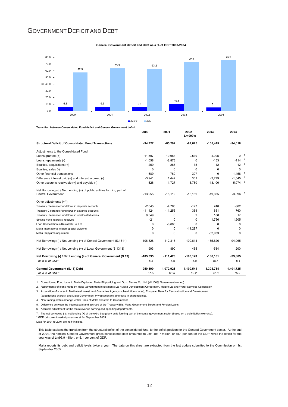### GOVERNMENT DEFICIT AND DEBT





|                                                                                                     | 2000       | 2001       | 2002        | 2003       | 2004                  |  |
|-----------------------------------------------------------------------------------------------------|------------|------------|-------------|------------|-----------------------|--|
|                                                                                                     |            |            | Lm000's     |            |                       |  |
| <b>Structural Deficit of Consolidated Fund Transactions</b>                                         | $-94,727$  | $-85,292$  | $-87,675$   | $-105,445$ | $-94,018$             |  |
| Adjustments to the Consolidated Fund:                                                               |            |            |             |            |                       |  |
| Loans granted $(+)$                                                                                 | 11.807     | 10,984     | 9,539       | 4,095      | $0-1$                 |  |
| Loans repayments (-)                                                                                | $-1,658$   | $-2,873$   | $\Omega$    | $-153$     | $-114$ $2$            |  |
| Equities, acquisitions (+)                                                                          | 250        | 286        | 35          | 12         | 12                    |  |
| Equities, sales (-)                                                                                 | $\Omega$   | $\Omega$   | $\Omega$    | $\Omega$   | 0                     |  |
| Other financial transactions                                                                        | $-1,689$   | $-769$     | $-397$      | $\Omega$   | $-1,458$ <sup>4</sup> |  |
| Difference interest paid (+) and interest accrued (-)                                               | $-3,941$   | 1,447      | 361         | $-2,279$   | $-1,545$ <sup>5</sup> |  |
| Other accounts receivable (+) and payable (-)                                                       | 1,526      | 1,727      | 3,760       | $-13,100$  | $5,074$ $6$           |  |
| Net Borrowing (-) / Net Lending (+) of public entities forming part of<br><b>Central Government</b> | $-13.955$  | $-15.119$  | $-15.189$   | $-19.085$  | $-3.896$              |  |
| Other adjustments (+/-)                                                                             |            |            |             |            |                       |  |
| Treasury Clearance Fund flows in deposits accounts                                                  | $-2.045$   | $-4.766$   | $-127$      | 748        | $-802$                |  |
| Treasury Clearance Fund flows in advance accounts                                                   | $-11,424$  | $-11,255$  | 364         | 651        | 760                   |  |
| Treasury Clearance Fund flows in unallocated stores                                                 | 9.549      | $\Omega$   | 2           | 106        | 17                    |  |
| Sinking Fund interests' received                                                                    | $-21$      | $\Omega$   | $\Omega$    | 1,756      | 1,905                 |  |
| Loan Cancellation in Kalaxlokk Co. Ltd                                                              | $\Omega$   | $-6.686$   | $\Omega$    | 0          | $\Omega$              |  |
| Malta International Airport special dividend                                                        | 0          | 0          | $-11.287$   | 0          | $\Omega$              |  |
| Malta Shipyards adjustment                                                                          | $\Omega$   | 0          | 0           | $-52.933$  | $\Omega$              |  |
| Net Borrowing (-) / Net Lending (+) of Central Government (S.1311)                                  | $-106.328$ | $-112.316$ | $-100.614$  | $-185.626$ | $-94.065$             |  |
| Net Borrowing (-) / Net Lending (+) of Local Government (S.1313)                                    | 993        | 890        | 465         | $-534$     | 200                   |  |
| Net Borrowing (-) / Net Lending (+) of General Government (S.13)                                    | $-105.335$ | $-111.426$ | $-100, 149$ | $-186.161$ | $-93.865$             |  |
| as a % of GDP*                                                                                      | 6.3        | 6.6        | 5.8         | 10.4       | 5.1                   |  |
| General Government (S.13) Debt                                                                      | 950,399    | 1,072,925  | 1,100,541   | 1,304,734  | 1,401,725             |  |
| as a % of GDP*                                                                                      | 57.5       | 63.5       | 63.2        | 72.8       | 75.9                  |  |

1. Consolidated Fund loans to Malta Drydocks, Malta Shipbuilding and Gozo Ferries Co. Ltd. (all 100% Government owned).

2. Repayments of loans made by Malta Government Investments Ltd / Malta Development Corporation, Malpro Ltd and Water Services Corporation

3. Acquisition of shares in Multilateral Investment Guarantee Agency (subscription shares), European Bank for Reconstruction and Development

(subsriptions shares), and Malta Government Privatisation plc. (increase in shareholding).

4. Non-trading profits among Central Bank of Malta transfers to Government

5. Difference between the interest paid and accrued of the Treasury Bills, Malta Government Stocks and Foreign Loans

6. Accruals adjustment for the main revenue earning and spending departments.

7. The net borrowing (-) / net lending (+) of the extra budgetary units forming part of the cental government sector (based on a delimitation exercise).

\* GDP (at current market prices) as at 1st September 2005.

Data for 2001 to 2004 are half finalised.

This table explains the transition from the structural deficit of the consolidated fund, to the deficit position for the General Government sector. At the end of 2004, the nominal General Government gross consolidated debt amounted to Lm1,401.7 million, or 75.1 per cent of the GDP, while the deficit for the year was of Lm93.9 million, or 5.1 per cent of GDP.

Malta reports its debt and deficit levels twice a year. The data on this sheet are extracted from the last update submitted to the Commission on 1st September 2005.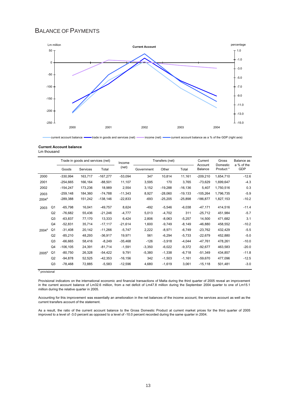### BALANCE OF PAYMENTS



current account balance **-**trade in goods and services (net) - income (net) - current account balance as a % of the GDP (right axis)

#### **Current Account balance**

|  | Lm thousand |  |
|--|-------------|--|
|--|-------------|--|

|                   |                |            | Trade in goods and services (net) |            | Income     |            | Transfers (net) |            | Current<br>Account | Gross<br>Domestic    | Balance as<br>a % of the |
|-------------------|----------------|------------|-----------------------------------|------------|------------|------------|-----------------|------------|--------------------|----------------------|--------------------------|
|                   |                | Goods      | Services                          | Total      | (net)      | Government | Other           | Total      | Balance            | Product <sup>*</sup> | GDP                      |
| 2000              |                | $-330,994$ | 163,717                           | $-167.277$ | $-53,094$  | 347        | 10,814          | 11,161     | $-209,210$         | 1,654,710            | $-12.6$                  |
| 2001              |                | $-254.665$ | 166,164                           | $-88.501$  | 11,107     | 3.595      | 170             | 3.765      | $-73,629$          | 1,699,647            | $-4.3$                   |
| 2002              |                | $-154.247$ | 173,236                           | 18.989     | 2,554      | 3,152      | $-19.288$       | $-16, 136$ | 5.407              | 1,750,516            | 0.3                      |
| 2003              |                | $-259.148$ | 184.360                           | $-74.788$  | $-11,343$  | 8.927      | $-28.060$       | $-19.133$  | $-105,264$         | 1,796,735            | $-5.9$                   |
| 2004 <sup>p</sup> |                | $-289,388$ | 151,242                           | $-138,146$ | $-22,833$  | $-693$     | $-25,205$       | $-25.898$  | $-186,877$         | 1,827,153            | $-10.2$                  |
| 2003              | Q <sub>1</sub> | $-65,798$  | 16,041                            | $-49,757$  | 8,624      | $-492$     | $-5,546$        | $-6,038$   | $-47,171$          | 414,516              | $-11.4$                  |
|                   | Q2             | $-76,682$  | 55.436                            | $-21,246$  | $-4.777$   | 5,013      | $-4,702$        | 311        | $-25,712$          | 451,984              | $-5.7$                   |
|                   | Q3             | $-63,837$  | 77,170                            | 13,333     | 6,424      | 2,806      | $-8,063$        | $-5,257$   | 14,500             | 471,682              | 3.1                      |
|                   | Q4             | $-52,831$  | 35.714                            | $-17,117$  | $-21,614$  | 1.600      | $-9.749$        | $-8.149$   | $-46.880$          | 458,552              | $-10.2$                  |
| 2004 <sup>p</sup> | Q1             | $-31,408$  | 20.142                            | $-11.266$  | $-5.747$   | 2,222      | $-8.971$        | $-6.749$   | $-23.762$          | 432.429              | $-5.5$                   |
|                   | Q <sub>2</sub> | $-85,210$  | 48.293                            | $-36.917$  | 19.971     | 561        | $-6,294$        | $-5.733$   | $-22.679$          | 452.880              | $-5.0$                   |
|                   | Q3             | $-66,665$  | 58,416                            | $-8,249$   | $-35,468$  | $-126$     | $-3,918$        | $-4,044$   | $-47,761$          | 478,261              | $-10.0$                  |
|                   | Q4             | $-106.105$ | 24.391                            | $-81,714$  | $-1.591$   | $-3,350$   | $-6,022$        | $-9.372$   | $-92.677$          | 463,583              | $-20.0$                  |
| 2005 <sup>p</sup> | Q1             | $-80,750$  | 26,328                            | $-54,422$  | 9,791      | $-5,380$   | $-1,338$        | $-6,718$   | $-51,349$          | 434,857              | $-11.8$                  |
|                   | Q <sub>2</sub> | $-94,878$  | 52,525                            | $-42.353$  | $-16, 156$ | 342        | $-1,503$        | $-1,161$   | $-59.670$          | 477,096              | $-12.5$                  |
|                   | Q3             | -78,468    | 72,885                            | $-5,583$   | $-12,596$  | 4,680      | $-1,619$        | 3,061      | $-15,118$          | 501,481              | $-3.0$                   |

<sup>p</sup> provisional

Provisional indicators on the international economic and financial transactions of Malta during the third quarter of 2005 reveal an improvement in the current account balance of Lm32.6 million, from a net deficit of Lm47.8 million during the September 2004 quarter to one of Lm15.1 million during the relative quarter in 2005.

Accounting for this improvement was essentially an amelioration in the net balances of the income account, the services account as well as the current transfers account of the statement.

As a result, the ratio of the current account balance to the Gross Domestic Product at current market prices for the third quarter of 2005 improved to a level of -3.0 percent as opposed to a level of -10.0 percent recorded during the same quarter in 2004.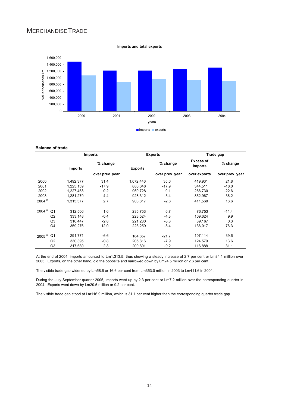# MERCHANDISETRADE





#### **Balance of trade**

|                   |                | <b>Imports</b> |                 |                | <b>Exports</b>  | Trade gap            |                 |  |
|-------------------|----------------|----------------|-----------------|----------------|-----------------|----------------------|-----------------|--|
|                   |                | <b>Imports</b> | % change        | <b>Exports</b> | % change        | Excess of<br>imports | % change        |  |
|                   |                |                | over prev. year |                | over prev. year | over exports         | over prev. year |  |
| 2000              |                | 1,492,377      | 31.4            | 1,072,446      | 35.6            | 419,931              | 21.8            |  |
| 2001              |                | 1,225,159      | $-17.9$         | 880.648        | $-17.9$         | 344.511              | $-18.0$         |  |
| 2002              |                | 1,227,458      | 0.2             | 960.728        | 9.1             | 266.730              | $-22.6$         |  |
| 2003              |                | 1,281,279      | 4.4             | 928,312        | $-3.4$          | 352,967              | 36.2            |  |
| 2004 <sup>p</sup> |                | 1,315,377      | 2.7             | 903.817        | $-2.6$          | 411.560              | 16.6            |  |
| 2004 <sup>p</sup> | Q <sub>1</sub> | 312.506        | 1.6             | 235.753        | 6.7             | 76.753               | $-11.4$         |  |
|                   | Q2             | 333,148        | $-0.4$          | 223.524        | $-4.3$          | 109.624              | 9.9             |  |
|                   | Q <sub>3</sub> | 310,447        | $-2.8$          | 221,280        | $-3.8$          | 89,167               | 0.3             |  |
|                   | Q4             | 359,276        | 12.0            | 223,259        | $-8.4$          | 136.017              | 76.3            |  |
| 2005 <sup>P</sup> | Q1             | 291,771        | $-6.6$          | 184,657        | $-21.7$         | 107,114              | 39.6            |  |
|                   | Q <sub>2</sub> | 330.395        | $-0.8$          | 205.816        | $-7.9$          | 124,579              | 13.6            |  |
|                   | Q3             | 317.689        | 2.3             | 200.801        | $-9.2$          | 116.888              | 31.1            |  |

At the end of 2004, imports amounted to Lm1,313.5, thus showing a steady increase of 2.7 per cent or Lm34.1 million over 2003. Exports, on the other hand, did the opposite and narrowed down by Lm24.5 million or 2.6 per cent.

The visible trade gap widened by Lm58.6 or 16.6 per cent from Lm353.0 million in 2003 to Lm411.6 in 2004.

During the July-September quarter 2005, imports went up by 2.3 per cent or Lm7.2 million over the corresponding quarter in 2004. Exports went down by Lm20.5 million or 9.2 per cent.

The visible trade gap stood at Lm116.9 million, which is 31.1 per cent higher than the corresponding quarter trade gap.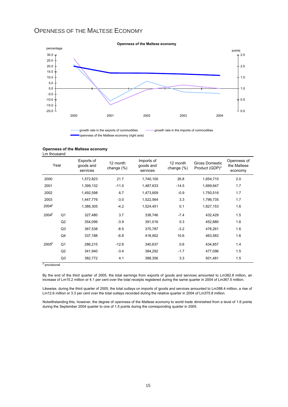## OPENNESS OF THE MALTESE ECONOMY



openness of the Maltese economy (right axis)

#### **Openness of the Maltese economy**

Lm thousand

|                   | Year           | Exports of<br>goods and<br>services | 12 month<br>change $(\%)$ | Imports of<br>goods and<br>services | 12 month<br>change (%) | Gross Domestic<br>Product (GDP)* | Openness of<br>the Maltese<br>economy |
|-------------------|----------------|-------------------------------------|---------------------------|-------------------------------------|------------------------|----------------------------------|---------------------------------------|
| 2000              |                | 1,572,823                           | 21.7                      | 1,740,100                           | 26.8                   | 1,654,710                        | 2.0                                   |
| 2001              |                | 1,399,132                           | $-11.0$                   | 1,487,633                           | $-14.5$                | 1,699,647                        | 1.7                                   |
| 2002              |                | 1,492,598                           | 6.7                       | 1,473,609                           | $-0.9$                 | 1,750,516                        | 1.7                                   |
| 2003              |                | 1,447,776                           | $-3.0$                    | 1,522,564                           | 3.3                    | 1,796,735                        | 1.7                                   |
| 2004 <sup>p</sup> |                | 1,386,305                           | $-4.2$                    | 1,524,451                           | 0.1                    | 1,827,153                        | 1.6                                   |
| 2004 <sup>p</sup> | Q <sub>1</sub> | 327,480                             | 3.7                       | 338,746                             | $-7.4$                 | 432,429                          | 1.5                                   |
|                   | Q2             | 354,099                             | $-3.9$                    | 391,016                             | 0.3                    | 452,880                          | 1.6                                   |
|                   | Q <sub>3</sub> | 367,538                             | $-8.5$                    | 375,787                             | $-3.2$                 | 478,261                          | 1.6                                   |
|                   | Q4             | 337,188                             | $-6.8$                    | 418,902                             | 10.6                   | 463,583                          | 1.6                                   |
| 2005 <sup>p</sup> | Q <sub>1</sub> | 286,215                             | $-12.6$                   | 340,637                             | 0.6                    | 434,857                          | 1.4                                   |
|                   | Q2             | 341,940                             | $-3.4$                    | 384,292                             | $-1.7$                 | 477,096                          | 1.5                                   |
|                   | Q <sub>3</sub> | 382,772                             | 4.1                       | 388,356                             | 3.3                    | 501,481                          | 1.5                                   |

<sup>p</sup> provisional

By the end of the third quarter of 2005, the total earnings from exports of goods and services amounted to Lm382.8 million, an increase of Lm15.2 million or 4.1 per cent over the total receipts registered during the same quarter in 2004 of Lm367.5 million.

Likewise, during the third quarter of 2005, the total outlays on imports of goods and services amounted to Lm388.4 million, a rise of Lm12.6 million or 3.3 per cent over the total outlays recorded during the relative quarter in 2004 of Lm375.8 million.

Notwithstanding this, however, the degree of openness of the Maltese economy to world trade diminished from a level of 1.6 points during the September 2004 quarter to one of 1.5 points during the corresponding quarter in 2005.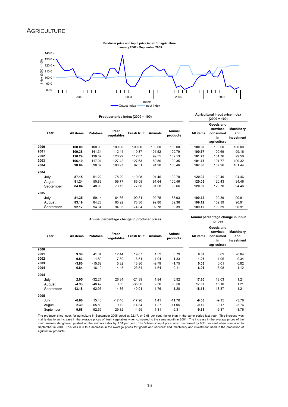### **AGRICULTURE**



|           |           |                 | Producer price index $(2000 = 100)$ |                    | Agricultural input price index<br>$(2000 = 100)$ |                    |           |                                                        |                                       |
|-----------|-----------|-----------------|-------------------------------------|--------------------|--------------------------------------------------|--------------------|-----------|--------------------------------------------------------|---------------------------------------|
| Year      | All items | <b>Potatoes</b> | Fresh<br>vegetables                 | <b>Fresh fruit</b> | <b>Animals</b>                                   | Animal<br>products | All items | Goods and<br>services<br>consumed<br>in<br>agriculture | <b>Machinery</b><br>and<br>investment |
| 2000      | 100.00    | 100.00          | 100.00                              | 100.00             | 100.00                                           | 100.00             | 100.00    | 100.00                                                 | 100.00                                |
| 2001      | 109.38    | 141.34          | 112.44                              | 119.87             | 101.52                                           | 100.79             | 100.67    | 100.69                                                 | 99.16                                 |
| 2002      | 110.29    | 138.67          | 120.99                              | 112.07             | 99.55                                            | 102.13             | 101.73    | 101.76                                                 | 99.50                                 |
| 2003      | 106.10    | 117.01          | 127.42                              | 127.53             | 89.80                                            | 100.35             | 101.75    | 101.77                                                 | 100.32                                |
| 2004      | 98.84     | 98.07           | 108.97                              | 97.51              | 91.28                                            | 100.46             | 107.86    | 107.96                                                 | 101.44                                |
| 2004      |           |                 |                                     |                    |                                                  |                    |           |                                                        |                                       |
| July      | 87.15     | 51.22           | 78.29                               | 110.08             | 91.46                                            | 100.70             | 120.02    | 120.40                                                 | 94.46                                 |
| August    | 81.24     | 50.83           | 59.77                               | 86.08              | 91.64                                            | 100.46             | 120.05    | 120.43                                                 | 94.46                                 |
| September | 84.04     | 48.98           | 73.13                               | 77.60              | 91.58                                            | 99.66              | 120.32    | 120.70                                                 | 94.46                                 |
| 2005      |           |                 |                                     |                    |                                                  |                    |           |                                                        |                                       |
| July      | 81.35     | 59.14           | 64.66                               | 90.31              | 92.75                                            | 88.93              | 109.12    | 109.39                                                 | 90.91                                 |
| August    | 83.19     | 84.28           | 65.22                               | 73.30              | 92.80                                            | 89.36              | 109.12    | 109.39                                                 | 90.91                                 |
| September | 92.17     | 94.34           | 94.93                               | 74.04              | 92.78                                            | 90.39              | 109.12    | 109.39                                                 | 90.91                                 |

**All items Potatoes Fresh vegetables Fresh fruit Animals Animal products All items Goods and services consumed in agriculture Machinery and investment** - - - - - - - - - **9.38** 41.34 12.44 19.87 1.52 0.79 **0.67** 0.69 -0.84 **0.83** -1.89 7.60 -6.51 -1.94 1.33 **1.05** 1.06 0.34 **-3.80** -15.62 5.32 13.80 -9.79 -1.75 **0.03** 0.01 0.82 **-6.84** -16.19 -14.48 -23.54 1.64 0.11 **6.01** 6.08 1.12 July **2.05** -32.21 26.84 -21.39 1.94 0.92 **17.80** 18.03 1.21 August **-4.93** -48.42 9.89 -35.90 2.50 -0.50 **17.87** 18.10 1.21 September **-13.18** -62.96 -14.36 -40.91 1.76 -1.28 **18.13** 18.37 1.21 July **-6.66** 15.46 -17.40 -17.96 1.41 -11.70 **-9.08** -9.15 -3.76 August **2.39** 65.80 9.12 -14.84 1.27 -11.05 **-9.10** -9.17 -3.76 September **9.68** 92.59 29.82 -4.59 1.31 -9.31 **-9.31** -9.37 -3.76 **Annual percentage change in producer prices Annual percentage change in input prices 2003 Year 2004 2005 2001 2002 2000 2004**

The producer price index for agriculture in September 2005 stood at 92.17, or 9.68 per cent higher than in the same period last year. This increase was mainly due to an increase in the average prices of fresh vegetables when compared to the same month in 2004. The increase in the average prices of the<br>main animals slaughtered pushed up the animals index by 1.31 per cent. agricultural products.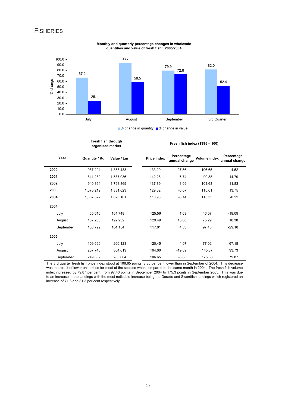### **FISHERIES**



**Monthly and quarterly percentage changes in wholesale quantities and value of fresh fish: 2005/2004**

■ % change in quantity ■ % change in value

|           | Fresh fish through<br>organised market |            | Fresh fish index (1995 = 100) |                             |              |                             |  |  |
|-----------|----------------------------------------|------------|-------------------------------|-----------------------------|--------------|-----------------------------|--|--|
| Year      | Quantity / Kg                          | Value / Lm | <b>Price index</b>            | Percentage<br>annual change | Volume index | Percentage<br>annual change |  |  |
| 2000      | 987,294                                | 1,858,433  | 133.29                        | 27.56                       | 106.65       | $-4.52$                     |  |  |
| 2001      | 841,289                                | 1,587,036  | 142.28                        | 6.74                        | 90.88        | $-14.79$                    |  |  |
| 2002      | 940,864                                | 1,798,869  | 137.89                        | $-3.09$                     | 101.63       | 11.83                       |  |  |
| 2003      | 1,070,219                              | 1,831,623  | 129.52                        | $-6.07$                     | 115.61       | 13.75                       |  |  |
| 2004      | 1,067,822                              | 1,826,101  | 118.98                        | $-8.14$                     | 115.35       | $-0.22$                     |  |  |
| 2004      |                                        |            |                               |                             |              |                             |  |  |
| July      | 65,616                                 | 164,748    | 125.56                        | 1.09                        | 46.07        | $-19.09$                    |  |  |
| August    | 107,233                                | 192,232    | 129.49                        | 15.88                       | 75.29        | 18.38                       |  |  |
| September | 138,799                                | 164,154    | 117.01                        | 4.53                        | 97.46        | $-29.18$                    |  |  |
| 2005      |                                        |            |                               |                             |              |                             |  |  |
| July      | 109,696                                | 206,123    | 120.45                        | $-4.07$                     | 77.02        | 67.18                       |  |  |
| August    | 207,746                                | 304,619    | 104.00                        | $-19.69$                    | 145.87       | 93.73                       |  |  |
| September | 249,662                                | 283,604    | 106.65                        | $-8.86$                     | 175.30       | 79.87                       |  |  |

The 3rd quarter fresh fish price index stood at 106.65 points, 8.86 per cent lower than in September of 2004. This decrease was the result of lower unit prices for most of the species when compared to the same month in 2004. The fresh fish volume index increased by 79.87 per cent, from 97.46 points in September 2004 to 175.3 points in September 2005. This was due to an increase in the landings with the most noticable increase being the Dorado and Swordfish landings which registered an increase of 71.3 and 81.3 per cent respectively.

17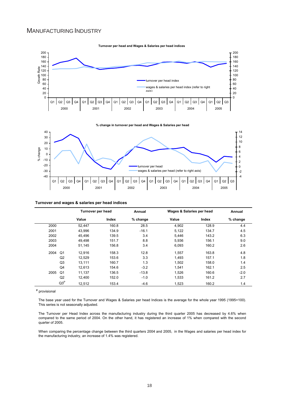### MANUFACTURING INDUSTRY





**% change in turnover per head and Wages & Salaries per head** 



#### **Turnover and wages & salaries per head indices**

|      |                | Turnover per head |       | Annual   | Wages & Salaries per head |       | Annual   |  |
|------|----------------|-------------------|-------|----------|---------------------------|-------|----------|--|
|      |                | Value             | Index | % change | Value                     | Index | % change |  |
| 2000 |                | 52,447            | 160.8 | 28.5     | 4,902                     | 128.9 | 4.4      |  |
| 2001 |                | 43,996            | 134.9 | $-16.1$  | 5,122                     | 134.7 | 4.5      |  |
| 2002 |                | 45.496            | 139.5 | 3.4      | 5.446                     | 143.2 | 6.3      |  |
| 2003 |                | 49.498            | 151.7 | 8.8      | 5.936                     | 156.1 | 9.0      |  |
| 2004 |                | 51,145            | 156.8 | 3.4      | 6,093                     | 160.2 | 2.6      |  |
| 2004 | Q1             | 12.916            | 158.3 | 12.8     | 1,557                     | 163.8 | 4.8      |  |
|      | Q2             | 12.529            | 153.6 | 3.3      | 1.493                     | 157.1 | 1.8      |  |
|      | Q3             | 13,111            | 160.7 | 1.3      | 1.502                     | 158.0 | 1.4      |  |
|      | Q4             | 12,613            | 154.6 | $-3.2$   | 1,541                     | 162.1 | 2.5      |  |
| 2005 | Q <sub>1</sub> | 11,137            | 136.5 | $-13.8$  | 1.526                     | 160.6 | $-2.0$   |  |
|      | Q2             | 12,400            | 152.0 | $-1.0$   | 1,533                     | 161.2 | 2.7      |  |
|      | $Q3^P$         | 12,512            | 153.4 | $-4.6$   | 1.523                     | 160.2 | 1.4      |  |

**p** provisional

The base year used for the Turnover and Wages & Salaries per head Indices is the average for the whole year 1995 (1995=100). This series is not seasonally adjusted.

The Turnover per Head Index across the manufacturing industry during the third quarter 2005 has decreased by 4.6% when compared to the same period of 2004. On the other hand, it has registered an increase of 1% when compared with the second quarter of 2005.

When comparing the percentage change between the third quarters 2004 and 2005, in the Wages and salaries per head index for the manufacturing industry, an increase of 1.4% was registered.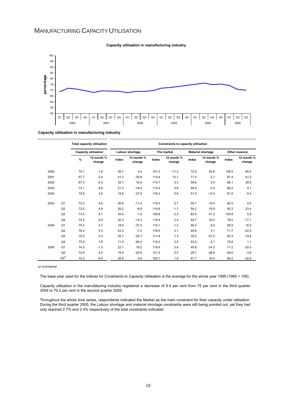### MANUFACTURING CAPACITY UTILISATION



#### **Capacity utilisation in manufacturing industry**

**Capacity utilisation in manufacturing industry**

|      |                |      | <b>Total capacity utilisation</b><br><b>Capacity utilisation</b> |       | Constraints to capacity utilisation |       |                      |                          |                      |               |                      |
|------|----------------|------|------------------------------------------------------------------|-------|-------------------------------------|-------|----------------------|--------------------------|----------------------|---------------|----------------------|
|      |                |      |                                                                  |       | Labour shortage<br>The market       |       |                      | <b>Material shortage</b> |                      | Other reasons |                      |
|      |                | $\%$ | 12 month %<br>change                                             | Index | 12 month %<br>change                | Index | 12 month %<br>change | Index                    | 12 month %<br>change | Index         | 12 month %<br>change |
| 2000 |                | 70.1 | 1.6                                                              | 59.7  | 4.4                                 | 101.2 | $-11.3$              | 72.9                     | 64.6                 | 138.5         | 85.5                 |
| 2001 |                | 67.7 | $-3.4$                                                           | 41.3  | $-30.8$                             | 113.4 | 12.1                 | 71.4                     | $-2.1$               | 81.4          | $-41.2$              |
| 2002 |                | 67.3 | $-0.3$                                                           | 32.7  | 16.4                                | 114.7 | $-3.3$               | 59.6                     | 2.4                  | 86.1          | 28.6                 |
| 2003 |                | 73.1 | 8.6                                                              | 27.3  | $-16.4$                             | 115.4 | 0.6                  | 59.4                     | $-0.3$               | 86.2          | 0.1                  |
| 2004 |                | 75.6 | 3.5                                                              | 19.8  | $-27.5$                             | 116.3 | 0.8                  | 51.0                     | $-14.3$              | 81.5          | $-5.4$               |
| 2003 | Q <sub>1</sub> | 72.0 | 5.8                                                              | 26.9  | $-11.4$                             | 116.4 | 0.7                  | 55.7                     | $-19.4$              | 82.0          | 5.0                  |
|      | Q2             | 72.5 | 4.8                                                              | 26.2  | $-6.6$                              | 114.9 | $-1.7$               | 54.2                     | $-15.9$              | 92.2          | 23.4                 |
|      | Q <sub>3</sub> | 73.4 | 6.1                                                              | 34.6  | $-1.0$                              | 109.8 | $-2.3$               | 83.5                     | 41.2                 | 103.8         | 5.9                  |
|      | Q <sub>4</sub> | 74.4 | 6.5                                                              | 32.3  | $-14.2$                             | 116.4 | 2.4                  | 54.7                     | 20.4                 | 78.0          | $-17.1$              |
| 2004 | Q <sub>1</sub> | 75.3 | 4.7                                                              | 18.6  | $-31.0$                             | 115.1 | $-1.2$               | 60.4                     | 8.5                  | 95.5          | 16.5                 |
|      | Q2             | 76.4 | 5.3                                                              | 24.3  | $-7.2$                              | 118.5 | 3.1                  | 55.8                     | 3.1                  | 71.7          | $-22.3$              |
|      | Q3             | 75.0 | 2.3                                                              | 25.7  | $-25.7$                             | 117.8 | 7.3                  | 35.5                     | $-57.5$              | 83.3          | $-19.8$              |
|      | Q <sub>4</sub> | 75.6 | 1.6                                                              | 11.5  | $-64.4$                             | 119.3 | 2.5                  | 53.5                     | $-2.1$               | 78.8          | 1.1                  |
| 2005 | Q <sub>1</sub> | 74.3 | $-1.3$                                                           | 22.1  | 19.2                                | 119.6 | 3.9                  | 45.8                     | $-24.2$              | 71.2          | $-25.5$              |
|      | Q2             | 72.9 | $-4.5$                                                           | 19.4  | $-20.0$                             | 121.5 | 2.5                  | 28.7                     | $-48.6$              | 69.0          | $-3.8$               |
|      | $Q3^P$         | 70.2 | $-6.4$                                                           | 25.9  | 0.9                                 | 120.1 | 1.9                  | 47.7                     | 34.5                 | 64.2          | $-22.8$              |

#### p= provisional

The base year used for the indices for Constraints to Capacity Utilisation is the average for the whole year 1995 (1995 = 100).

Capacity utilisation in the manufaturing industry registered a decrease of 6.4 per cent from 75 per cent in the third quarter 2004 to 70.2 per cent in the second quarter 2005.

Throughout the whole time series, respondents indicated the Market as the main constraint for their capacity under utilisation. During the third quarter 2005, the Labour shortage and material shortage constraints were still being pointed out, yet they had only reached 2.7% and 2.4% respectively of the total constraints indicated.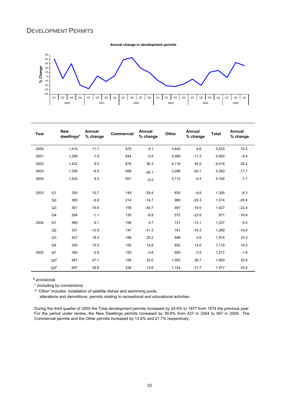### DEVELOPMENT PERMITS

**Annual change in development permits**



| Year |                 | <b>New</b><br>dwellings* | Annual<br>% change | <b>Commercial</b> | Annual<br>% change | Other | Annual<br>% change | <b>Total</b> | Annual<br>% change |
|------|-----------------|--------------------------|--------------------|-------------------|--------------------|-------|--------------------|--------------|--------------------|
| 2000 |                 | 1,410                    | 11.7               | 670               | 9.1                | 3,445 | 9.8                | 5,525        | 10.2               |
| 2001 |                 | 1,299                    | $-7.9$             | 644               | $-3.9$             | 3,060 | $-11.2$            | 5,003        | $-9.4$             |
| 2002 |                 | 1,422                    | 9.5                | 878               | 36.3               | 4,116 | 34.5               | 6,416        | 28.2               |
| 2003 |                 | 1,336                    | $-6.0$             | 658               | $-25.1$            | 3,289 | $-20.1$            | 5,283        | $-17.7$            |
| 2004 |                 | 1,423                    | 6.5                | 657               | $-0.2$             | 3,112 | $-5.4$             | 5,192        | $-1.7$             |
| 2003 | Q <sub>1</sub>  | 330                      | 10.7               | 149               | $-29.4$            | 830   | $-9.6$             | 1,309        | $-8.3$             |
|      | Q2              | 380                      | $-6.6$             | 214               | $-14.7$            | 980   | $-26.3$            | 1,574        | $-20.8$            |
|      | Q <sub>3</sub>  | 361                      | $-19.8$            | 159               | $-40.7$            | 907   | $-19.0$            | 1,427        | $-22.4$            |
|      | Q <sub>4</sub>  | 264                      | $-1.1$             | 135               | $-8.8$             | 572   | $-23.6$            | 971          | $-16.6$            |
| 2004 | Q <sub>1</sub>  | 360                      | 9.1                | 156               | 4.7                | 721   | $-13.1$            | 1,237        | $-5.5$             |
|      | Q2              | 331                      | $-12.9$            | 147               | $-31.3$            | 791   | $-19.3$            | 1,269        | $-19.4$            |
|      | Q <sub>3</sub>  | 427                      | 18.3               | 199               | 25.2               | 948   | 4.5                | 1,574        | 10.3               |
|      | Q4              | 305                      | 15.5               | 155               | 14.8               | 652   | 14.0               | 1,112        | 14.5               |
| 2005 | Q <sub>1</sub>  | 350                      | $-2.8$             | 150               | $-3.8$             | 693   | $-3.9$             | 1,217        | $-1.6$             |
|      | $Q2^p$          | 487                      | 47.1               | 194               | 32.0               | 1,002 | 26.7               | 1,683        | 32.6               |
|      | Q3 <sup>p</sup> | 597                      | 39.8               | 226               | 13.6               | 1,154 | 21.7               | 1,977        | 25.6               |

**<sup>p</sup>** provisional

\* (including by conversions)

\*\* 'Other' includes: installation of satellite dishes and swimming pools;

alterations and demolitions; permits relating to recreational and educational activities.

During the third quarter of 2005 the Total development permits increased by 25.6% to 1977 from 1574 the previous year. For the period under review, the New Dwellings permits increased by 39.8% from 427 in 2004 to 597 in 2005. The Commercial permits and the Other permits increased by 13.6% and 21.7% respectively.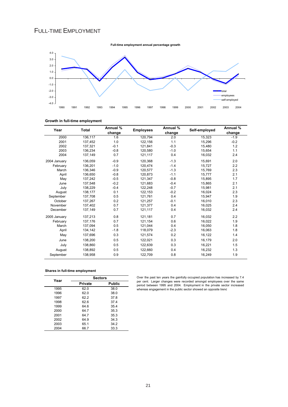# FULL-TIME EMPLOYMENT



#### **Growth in full-time employment**

| Year         | Total   | Annual % | <b>Employees</b> | Annual % | Self-employed | Annual % |
|--------------|---------|----------|------------------|----------|---------------|----------|
|              |         | change   |                  | change   |               | change   |
| 2000         | 136,117 | 1.6      | 120,794          | 2.0      | 15,323        | $-1.9$   |
| 2001         | 137,452 | 1.0      | 122,156          | 1.1      | 15,296        | $-0.2$   |
| 2002         | 137.321 | $-0.1$   | 121.841          | $-0.3$   | 15,480        | 1.2      |
| 2003         | 136,234 | $-0.8$   | 120,580          | $-1.0$   | 15,654        | 1.1      |
| 2004         | 137,149 | 0.7      | 121,117          | 0.4      | 16,032        | 2.4      |
| 2004 January | 136,059 | $-0.9$   | 120,368          | $-1.3$   | 15,691        | 2.0      |
| February     | 136,201 | $-1.0$   | 120.474          | $-1.4$   | 15,727        | 2.2      |
| March        | 136,346 | $-0.9$   | 120,577          | $-1.3$   | 15,769        | 2.3      |
| April        | 136.650 | $-0.8$   | 120.873          | $-1.1$   | 15.777        | 2.1      |
| May          | 137,242 | $-0.5$   | 121,347          | $-0.8$   | 15,895        | 1.7      |
| June         | 137,548 | $-0.2$   | 121,683          | $-0.4$   | 15,865        | 2.1      |
| July         | 138,229 | $-0.4$   | 122.248          | $-0.7$   | 15,981        | 2.1      |
| August       | 138,177 | 0.1      | 122,153          | $-0.2$   | 16,024        | 2.3      |
| September    | 137,708 | 0.5      | 121,761          | 0.4      | 15,947        | 1.9      |
| October      | 137,267 | 0.2      | 121,257          | $-0.1$   | 16,010        | 2.3      |
| November     | 137,402 | 0.7      | 121,377          | 0.4      | 16,025        | 2.4      |
| December     | 137,149 | 0.7      | 121,117          | 0.4      | 16,032        | 2.4      |
| 2005 January | 137,213 | 0.8      | 121,181          | 0.7      | 16,032        | 2.2      |
| February     | 137,176 | 0.7      | 121,154          | 0.6      | 16,022        | 1.9      |
| March        | 137.094 | 0.5      | 121,044          | 0.4      | 16,050        | 1.8      |
| April        | 134,142 | $-1.8$   | 118,079          | $-2.3$   | 16,063        | 1.8      |
| May          | 137,696 | 0.3      | 121,574          | 0.2      | 16,122        | 1.4      |
| June         | 138,200 | 0.5      | 122,021          | 0.3      | 16,179        | 2.0      |
| July         | 138,860 | 0.5      | 122,639          | 0.3      | 16,221        | 1.5      |
| August       | 138,892 | 0.5      | 122,660          | 0.4      | 16,232        | 1.3      |
| September    | 138,958 | 0.9      | 122,709          | 0.8      | 16,249        | 1.9      |

#### **Shares in full-time employment**

| Year | <b>Sectors</b> |               |  |  |  |  |
|------|----------------|---------------|--|--|--|--|
|      | <b>Private</b> | <b>Public</b> |  |  |  |  |
| 1995 | 62.0           | 38.0          |  |  |  |  |
| 1996 | 62.0           | 38.0          |  |  |  |  |
| 1997 | 62.2           | 37.8          |  |  |  |  |
| 1998 | 62.6           | 37.4          |  |  |  |  |
| 1999 | 64.6           | 35.4          |  |  |  |  |
| 2000 | 64.7           | 35.3          |  |  |  |  |
| 2001 | 64.7           | 35.3          |  |  |  |  |
| 2002 | 64.9           | 34.3          |  |  |  |  |
| 2003 | 65.1           | 34.2          |  |  |  |  |
| 2004 | 66.7           | 33.3          |  |  |  |  |

Over the past ten years the gainfully occupied population has increased by 7.4 per cent. Larger changes were recorded amongst employees over the same period between 1995 and 2004. Employment in the private sector increased whereas engagement in the public sector showed an opposite trend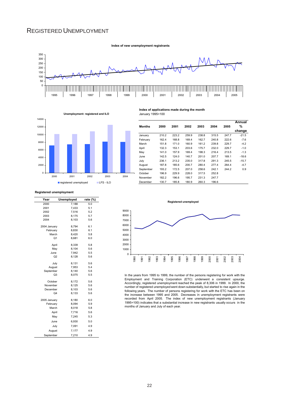### REGISTERED UNEMPLOYMENT



January 1995=100



|           |       |       |       |       |       |       | Annual  |
|-----------|-------|-------|-------|-------|-------|-------|---------|
| Months    | 2000  | 2001  | 2002  | 2003  | 2004  | 2005  | %       |
|           |       |       |       |       |       |       | change  |
| January   | 210.2 | 223.2 | 259.9 | 238.8 | 315.5 | 247.7 | $-21.5$ |
| February  | 162.4 | 168.8 | 169.4 | 162.7 | 240.8 | 222.6 | $-7.6$  |
| March     | 151.8 | 171.0 | 160.9 | 161.2 | 239.8 | 229.7 | $-4.2$  |
| April     | 132.3 | 153.1 | 203.6 | 175.7 | 232.0 | 229.7 | $-1.0$  |
| May       | 141.0 | 157.9 | 169.4 | 198.3 | 216.4 | 213.5 | $-1.3$  |
| June      | 142.5 | 124.0 | 140.7 | 201.0 | 207.7 | 169.1 | $-18.6$ |
| July      | 236.1 | 213.2 | 235.0 | 317.8 | 291.3 | 245.5 | $-15.7$ |
| August    | 187.8 | 185.6 | 200.7 | 280.4 | 277.4 | 264.4 | $-4.7$  |
| September | 193.2 | 172.5 | 207.0 | 258.6 | 242.1 | 244.2 | 0.9     |
| October   | 196.9 | 229.9 | 228.0 | 317.5 | 252.8 |       |         |
| November  | 182.2 | 196.6 | 195.7 | 231.3 | 247.7 |       |         |
| December  | 130.7 | 185.8 | 180.9 | 260.3 | 196.6 |       |         |

**Index of applications made during the month**

**Registered unemployment**

| Year           | Unemployed | rate (%) |
|----------------|------------|----------|
| 2000           | 7,188      | 5.0      |
| 2001           | 7,433      | 5.1      |
| 2002           | 7,516      | 5.2      |
| 2003           | 8,175      | 5.7      |
| 2004           | 8,103      | 5.6      |
| 2004 January   | 8,794      | 6.1      |
| February       | 8,830      | 6.1      |
| March          | 8,420      | 5.8      |
| Q <sub>1</sub> | 8,681      | 6.0      |
| April          | 8,339      | 5.8      |
| May            | 8,104      | 5.6      |
| June           | 7.942      | 5.5      |
| Q2             | 8,128      | 5.6      |
| July           | 8,131      | 5.6      |
| August         | 7,953      | 5.4      |
| September      | 8,140      | 5.6      |
| Q3             | 8,075      | 5.5      |
| October        | 8,172      | 5.6      |
| November       | 8,125      | 5.6      |
| December       | 8,103      | 5.6      |
| Q4             | 8,133      | 5.6      |
| 2005 January   | 8,180      | 6.0      |
| February       | 8,094      | 5.9      |
| March          | 8,018      | 5.8      |
| April          | 7,716      | 5.6      |
| May            | 7,245      | 5.3      |
| June           | 6,930      | 5.0      |
| July           | 7,091      | 4.9      |
| August         | 7,177      | 4.9      |
| September      | 7,210      | 4.9      |



In the years from 1995 to 1999, the number of the persons registering for work with the Employment and Training Corporation (ETC) underwent a consistent upsurge. Accordingly, registered unemployment reached the peak of 8,306 in 1999. In 2000, the number of registered unemployed went down substantially, but started to rise again in the following years. The number of persons registering for work with the ETC has been on the increase between 1995 and 2005. Decreases in unemployment registrants were recorded from April 2005. The index of new unemployment registrants (January 1995=100) indicates that a substantial increase in new registrants usually occurs in the months of January and July of each year.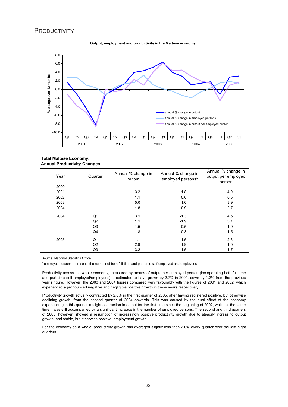#### **PRODUCTIVITY**





**Total Maltese Economy: Annual Productivity Changes**

| Year | Quarter        | Annual % change in<br>output | Annual % change in<br>employed persons* | Annual % change in<br>output per employed<br>person |
|------|----------------|------------------------------|-----------------------------------------|-----------------------------------------------------|
| 2000 |                |                              |                                         | ۰                                                   |
| 2001 |                | $-3.2$                       | 1.8                                     | $-4.9$                                              |
| 2002 |                | 1.1                          | 0.6                                     | 0.5                                                 |
| 2003 |                | 5.0                          | 1.0                                     | 3.9                                                 |
| 2004 |                | 1.8                          | $-0.9$                                  | 2.7                                                 |
| 2004 | Q1             | 3.1                          | $-1.3$                                  | 4.5                                                 |
|      | Q <sub>2</sub> | 1.1                          | $-1.9$                                  | 3.1                                                 |
|      | Q <sub>3</sub> | 1.5                          | $-0.5$                                  | 1.9                                                 |
|      | Q4             | 1.8                          | 0.3                                     | 1.5                                                 |
| 2005 | Q1             | $-1.1$                       | 1.5                                     | $-2.6$                                              |
|      | Q <sub>2</sub> | 2.9                          | 1.9                                     | 1.0                                                 |
|      | Q3             | 3.2                          | 1.5                                     | 1.7                                                 |

Source: National Statistics Office

\* employed persons represents the number of both full-time and part-time self-employed and employees

Productivity across the whole economy, measured by means of output per employed person (incorporating both full-time and part-time self employed/employees) is estimated to have grown by 2.7% in 2004, down by 1.2% from the previous year's figure. However, the 2003 and 2004 figures compared very favourably with the figures of 2001 and 2002, which experienced a pronounced negative and negligible positive growth in these years respectively.

Productivity growth actually contracted by 2.6% in the first quarter of 2005, after having registered positive, but otherwise declining growth, from the second quarter of 2004 onwards. This was caused by the dual effect of the economy experiencing in this quarter a slight contraction in output for the first time since the beginning of 2002, whilst at the same time it was still accompanied by a significant increase in the number of employed persons. The second and third quarters of 2005, however, showed a resumption of increasingly positive productivity growth due to steadily increasing output growth, and stable, but otherwise positive, employment growth.

For the economy as a whole, productivity growth has averaged slightly less than 2.0% every quarter over the last eight quarters.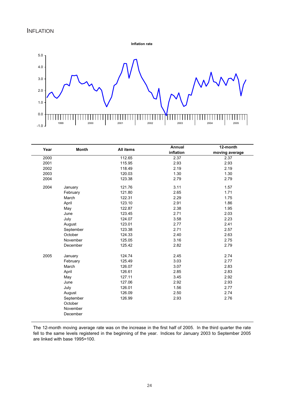**Inflation rate**



| Year | <b>Month</b> | <b>All items</b> | Annual    | 12-month       |  |
|------|--------------|------------------|-----------|----------------|--|
|      |              |                  | inflation | moving average |  |
| 2000 |              | 112.65           | 2.37      | 2.37           |  |
| 2001 |              | 115.95           | 2.93      | 2.93           |  |
| 2002 |              | 118.49           | 2.19      | 2.19           |  |
| 2003 |              | 120.03           | 1.30      | 1.30           |  |
| 2004 |              | 123.38           | 2.79      | 2.79           |  |
| 2004 | January      | 121.76           | 3.11      | 1.57           |  |
|      | February     | 121.80           | 2.65      | 1.71           |  |
|      | March        | 122.31           | 2.29      | 1.75           |  |
|      | April        | 123.10           | 2.91      | 1.86           |  |
|      | May          | 122.87           | 2.38      | 1.95           |  |
|      | June         | 123.45           | 2.71      | 2.03           |  |
|      | July         | 124.07           | 3.58      | 2.23           |  |
|      | August       | 123.01           | 2.77      | 2.41           |  |
|      | September    | 123.38           | 2.71      | 2.57           |  |
|      | October      | 124.33           | 2.40      | 2.63           |  |
|      | November     | 125.05           | 3.16      | 2.75           |  |
|      | December     | 125.42           | 2.82      | 2.79           |  |
| 2005 | January      | 124.74           | 2.45      | 2.74           |  |
|      | February     | 125.49           | 3.03      | 2.77           |  |
|      | March        | 126.07           | 3.07      | 2.83           |  |
|      | April        | 126.61           | 2.85      | 2.83           |  |
|      | May          | 127.11           | 3.45      | 2.92           |  |
|      | June         | 127.06           | 2.92      | 2.93           |  |
|      | July         | 126.01           | 1.56      | 2.77           |  |
|      | August       | 126.09           | 2.50      | 2.74           |  |
|      | September    | 126.99           | 2.93      | 2.76           |  |
|      | October      |                  |           |                |  |
|      | November     |                  |           |                |  |
|      | December     |                  |           |                |  |

The 12-month moving average rate was on the increase in the first half of 2005. In the third quarter the rate fell to the same levels registered in the beginning of the year. Indices for January 2003 to September 2005 are linked with base 1995=100.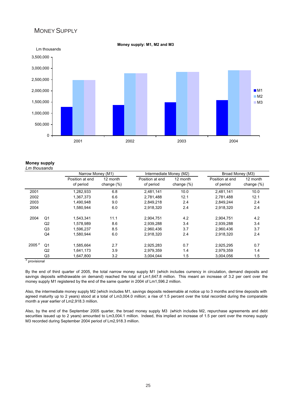#### MONEY SUPPLY



#### **Money supply** *Lm thousands*

|                   |                | Narrow Money (M1) |               | Intermediate Money (M2) |               | Broad Money (M3) |               |
|-------------------|----------------|-------------------|---------------|-------------------------|---------------|------------------|---------------|
|                   |                | Position at end   | 12 month      | Position at end         | 12 month      | Position at end  | 12 month      |
|                   |                | of period         | change $(\%)$ | of period               | change $(\%)$ | of period        | change $(\%)$ |
| 2001              |                | 1,282,933         | 6.8           | 2,481,141               | 10.0          | 2.481.141        | 10.0          |
| 2002              |                | 1,367,373         | 6.6           | 2,781,488               | 12.1          | 2,781,488        | 12.1          |
| 2003              |                | 1,490,948         | 9.0           | 2,849,218               | 2.4           | 2,849,244        | 2.4           |
| 2004              |                | 1,580,944         | 6.0           | 2,918,320               | 2.4           | 2,918,320        | 2.4           |
| 2004              | Q <sub>1</sub> | 1,543,341         | 11.1          | 2,904,751               | 4.2           | 2.904.751        | 4.2           |
|                   | Q2             | 1,578,989         | 8.6           | 2,939,288               | 3.4           | 2,939,288        | 3.4           |
|                   | Q <sub>3</sub> | 1,596,237         | 8.5           | 2,960,436               | 3.7           | 2,960,436        | 3.7           |
|                   | Q4             | 1,580,944         | 6.0           | 2,918,320               | 2.4           | 2,918,320        | 2.4           |
| 2005 <sup>p</sup> | Q <sub>1</sub> | 1,585,664         | 2.7           | 2,925,283               | 0.7           | 2,925,295        | 0.7           |
|                   | Q2             | 1,641,173         | 3.9           | 2,979,359               | 1.4           | 2,979,359        | 1.4           |
|                   | Q <sub>3</sub> | 1,647,800         | 3.2           | 3,004,044               | 1.5           | 3,004,056        | 1.5           |

By the end of third quarter of 2005, the total narrow money supply M1 (which includes currency in circulation, demand deposits and savings deposits withdrawable on demand) reached the total of Lm1,647.8 million. This meant an increase of 3.2 per cent over the money supply M1 registered by the end of the same quarter in 2004 of Lm1,596.2 million.

Also, the intermediate money supply M2 (which includes M1, savings deposits redeemable at notice up to 3 months and time deposits with agreed maturity up to 2 years) stood at a total of Lm3,004.0 million; a rise of 1.5 percent over the total recorded during the comparable month a year earlier of Lm2,918.3 million.

Also, by the end of the September 2005 quarter, the broad money supply M3 (which includes M2, repurchase agreements and debt securities issued up to 2 years) amounted to Lm3,004.1 million. Indeed, this implied an increase of 1.5 per cent over the money supply M3 recorded during September 2004 period of Lm2,918.3 million.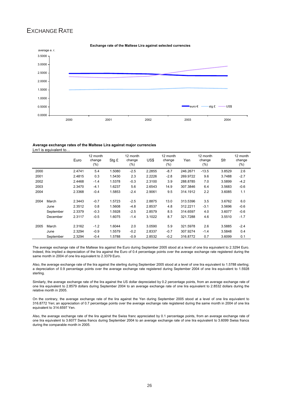### EXCHANGE RATE



#### **Exchange rate of the Maltese Lira against selected currencies**

#### **Average exchange rates of the Maltese Lira against major currencies** Lm1 is equivalent to.

|      |           | Euro   | 12 month<br>change<br>$(\% )$ | Stg £  | 12 month<br>change<br>(%) | US\$   | 12 month<br>change<br>(%) | Yen      | 12 month<br>change<br>$(\% )$ | Sfr    | 12 month<br>change<br>(%) |
|------|-----------|--------|-------------------------------|--------|---------------------------|--------|---------------------------|----------|-------------------------------|--------|---------------------------|
| 2000 |           | 2.4741 | 5.4                           | 1.5080 | $-2.5$                    | 2.2855 | $-8.7$                    | 246.2671 | $-13.5$                       | 3.8529 | 2.6                       |
| 2001 |           | 2.4815 | 0.3                           | 1.5430 | 2.3                       | 2.2226 | $-2.8$                    | 269.9722 | 9.6                           | 3.7488 | $-2.7$                    |
| 2002 |           | 2.4468 | $-1.4$                        | 1.5378 | $-0.3$                    | 2.3100 | 3.9                       | 288.8785 | 7.0                           | 3.5899 | $-4.2$                    |
| 2003 |           | 2.3470 | $-4.1$                        | 1.6237 | 5.6                       | 2.6543 | 14.9                      | 307.3846 | 6.4                           | 3.5683 | $-0.6$                    |
| 2004 |           | 2.3368 | $-0.4$                        | 1.5853 | $-2.4$                    | 2.9061 | 9.5                       | 314.1912 | 2.2                           | 3.6085 | 1.1                       |
| 2004 | March     | 2.3443 | $-0.7$                        | 1.5723 | $-2.5$                    | 2.8875 | 13.0                      | 313.5396 | 3.5                           | 3.6762 | 6.0                       |
|      | June      | 2.3512 | 0.8                           | 1.5608 | $-4.8$                    | 2.8537 | 4.8                       | 312.2211 | $-3.1$                        | 3.5696 | $-0.6$                    |
|      | September | 2.3379 | $-0.3$                        | 1.5928 | $-2.5$                    | 2.8579 | 8.5                       | 314.6597 | 4.0                           | 3.6077 | $-0.6$                    |
|      | December  | 2.3117 | $-0.5$                        | 1.6075 | $-1.4$                    | 3.1022 | 8.7                       | 321.7288 | 4.6                           | 3.5510 | $-1.7$                    |
| 2005 | March     | 2.3162 | $-1.2$                        | 1.6044 | 2.0                       | 3.0590 | 5.9                       | 321.5978 | 2.6                           | 3.5885 | $-2.4$                    |
|      | June      | 2.3294 | $-0.9$                        | 1.5579 | $-0.2$                    | 2.8337 | $-0.7$                    | 307.9274 | $-1.4$                        | 3.5848 | 0.4                       |
|      | September | 2.3294 | $-0.4$                        | 1.5788 | $-0.9$                    | 2.8532 | $-0.2$                    | 316.8772 | 0.7                           | 3.6099 | 0.1                       |

The average exchange rate of the Maltese lira against the Euro during September 2005 stood at a level of one lira equivalent to 2.3294 Euro. Indeed, this implied a depreciation of the lira against the Euro of 0.4 percentage points over the average exchange rate registered during the same month in 2004 of one lira equivalent to 2.3379 Euro.

Also, the average exchange rate of the lira against the sterling during September 2005 stood at a level of one lira equivalent to 1.5788 sterling; a depreciation of 0.9 percentage points over the average exchange rate registered during September 2004 of one lira equivalent to 1.5928 sterling.

Similarly, the average exchange rate of the lira against the US dollar depreciated by 0.2 percentage points, from an average exchange rate of one lira equivalent to 2.8579 dollars during September 2004 to an average exchange rate of one lira equivalent to 2.8532 dollars during the relative month in 2005.

On the contrary, the average exchange rate of the lira against the Yen during September 2005 stood at a level of one lira equivalent to 316.8772 Yen; an appreciation of 0.7 percentage points over the average exchange rate registered during the same month in 2004 of one lira equivalent to 314.6597 Yen.

Also, the average exchange rate of the lira against the Swiss franc appreciated by 0.1 percentage points, from an average exchange rate of one lira equivalent to 3.6077 Swiss francs during September 2004 to an average exchange rate of one lira equivalent to 3.6099 Swiss francs during the comparable month in 2005.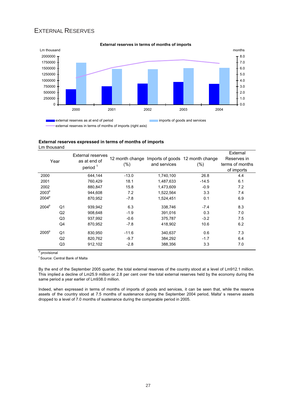### EXTERNAL RESERVES



#### **External reserves in terms of months of imports**

**External reserves expressed in terms of months of imports** Lm thousand

| Year              |                | <b>External reserves</b><br>as at end of<br>period $1$ | $(\%)$  | and services | 12 month change Imports of goods 12 month change<br>(%) | External<br>Reserves in<br>terms of months<br>of imports |
|-------------------|----------------|--------------------------------------------------------|---------|--------------|---------------------------------------------------------|----------------------------------------------------------|
| 2000              |                | 644.144                                                | $-13.0$ | 1,740,100    | 26.8                                                    | 4.4                                                      |
| 2001              |                | 760,429                                                | 18.1    | 1,487,633    | $-14.5$                                                 | 6.1                                                      |
| 2002              |                | 880,847                                                | 15.8    | 1,473,609    | $-0.9$                                                  | 7.2                                                      |
| 2003 <sup>p</sup> |                | 944.608                                                | 7.2     | 1,522,564    | 3.3                                                     | 7.4                                                      |
| 2004 <sup>p</sup> |                | 870.952                                                | $-7.8$  | 1.524.451    | 0.1                                                     | 6.9                                                      |
| 2004 <sup>p</sup> | Q <sub>1</sub> | 939,942                                                | 6.3     | 338,746      | $-7.4$                                                  | 8.3                                                      |
|                   | Q2             | 908.648                                                | $-1.9$  | 391,016      | 0.3                                                     | 7.0                                                      |
|                   | Q <sub>3</sub> | 937,992                                                | $-0.6$  | 375,787      | $-3.2$                                                  | 7.5                                                      |
|                   | Q4             | 870,952                                                | $-7.8$  | 418,902      | 10.6                                                    | 6.2                                                      |
| 2005 <sup>p</sup> | Q <sub>1</sub> | 830,950                                                | $-11.6$ | 340,637      | 0.6                                                     | 7.3                                                      |
|                   | Q2             | 820,762                                                | $-9.7$  | 384,292      | $-1.7$                                                  | 6.4                                                      |
|                   | Q <sub>3</sub> | 912,102                                                | $-2.8$  | 388,356      | 3.3                                                     | 7.0                                                      |

<sup>p</sup> provisional

1 Source: Central Bank of Malta

By the end of the September 2005 quarter, the total external reserves of the country stood at a level of Lm912.1 million. This implied a decline of Lm25.9 million or 2.8 per cent over the total external reserves held by the economy during the same period a year earlier of Lm938.0 million.

Indeed, when expressed in terms of months of imports of goods and services, it can be seen that, while the reserve assets of the country stood at 7.5 months of sustenance during the September 2004 period, Malta' s reserve assets dropped to a level of 7.0 months of sustenance during the comparable period in 2005.